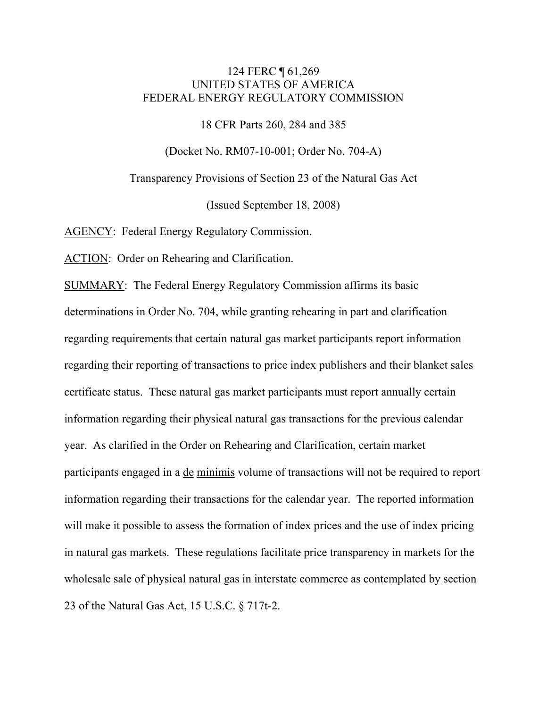# 124 FERC ¶ 61,269 UNITED STATES OF AMERICA FEDERAL ENERGY REGULATORY COMMISSION

18 CFR Parts 260, 284 and 385

(Docket No. RM07-10-001; Order No. 704-A)

Transparency Provisions of Section 23 of the Natural Gas Act

(Issued September 18, 2008)

AGENCY: Federal Energy Regulatory Commission.

ACTION: Order on Rehearing and Clarification.

SUMMARY: The Federal Energy Regulatory Commission affirms its basic determinations in Order No. 704, while granting rehearing in part and clarification regarding requirements that certain natural gas market participants report information regarding their reporting of transactions to price index publishers and their blanket sales certificate status. These natural gas market participants must report annually certain information regarding their physical natural gas transactions for the previous calendar year. As clarified in the Order on Rehearing and Clarification, certain market participants engaged in a de minimis volume of transactions will not be required to report information regarding their transactions for the calendar year. The reported information will make it possible to assess the formation of index prices and the use of index pricing in natural gas markets. These regulations facilitate price transparency in markets for the wholesale sale of physical natural gas in interstate commerce as contemplated by section 23 of the Natural Gas Act, 15 U.S.C. § 717t-2.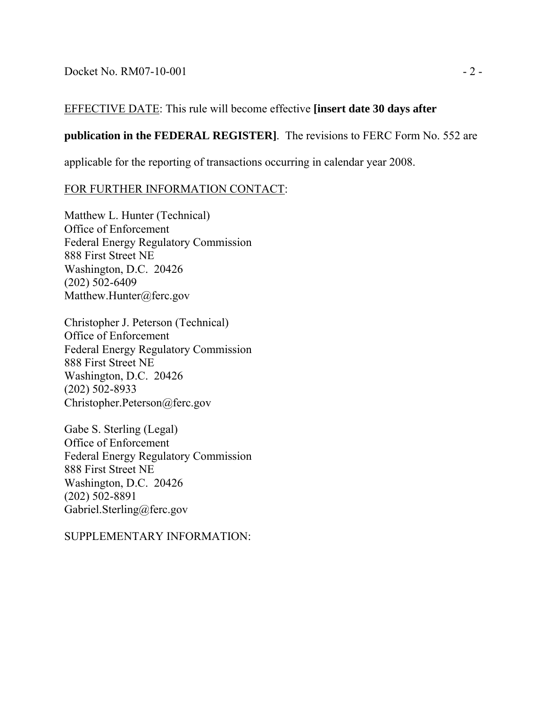$Dacket No. RM07-10-001$   $-2$  -

# EFFECTIVE DATE: This rule will become effective **[insert date 30 days after**

# **publication in the FEDERAL REGISTER]**. The revisions to FERC Form No. 552 are

applicable for the reporting of transactions occurring in calendar year 2008.

# FOR FURTHER INFORMATION CONTACT:

Matthew L. Hunter (Technical) Office of Enforcement Federal Energy Regulatory Commission 888 First Street NE Washington, D.C. 20426 (202) 502-6409 Matthew.Hunter@ferc.gov

Christopher J. Peterson (Technical) Office of Enforcement Federal Energy Regulatory Commission 888 First Street NE Washington, D.C. 20426 (202) 502-8933 Christopher.Peterson@ferc.gov

Gabe S. Sterling (Legal) Office of Enforcement Federal Energy Regulatory Commission 888 First Street NE Washington, D.C. 20426 (202) 502-8891 Gabriel.Sterling@ferc.gov

SUPPLEMENTARY INFORMATION: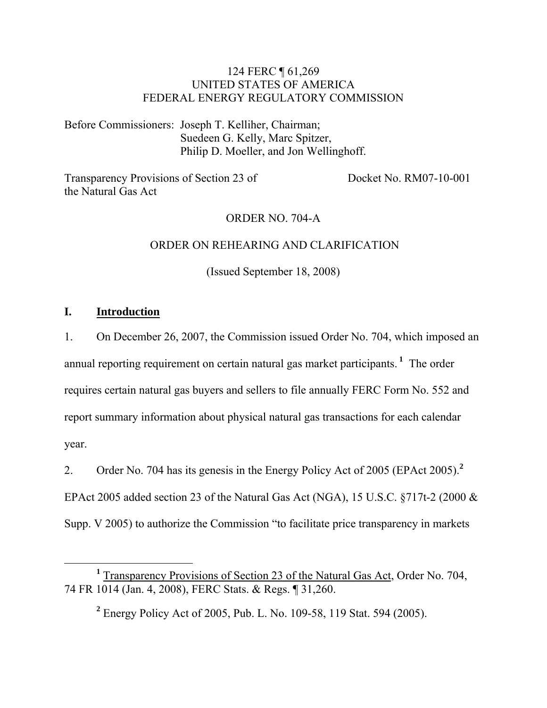# 124 FERC ¶ 61,269 UNITED STATES OF AMERICA FEDERAL ENERGY REGULATORY COMMISSION

Before Commissioners: Joseph T. Kelliher, Chairman; Suedeen G. Kelly, Marc Spitzer, Philip D. Moeller, and Jon Wellinghoff.

Transparency Provisions of Section 23 of the Natural Gas Act

Docket No. RM07-10-001

### ORDER NO. 704-A

#### ORDER ON REHEARING AND CLARIFICATION

(Issued September 18, 2008)

# **I. Introduction**

1. On December 26, 2007, the Commission issued Order No. 704, which imposed an annual reporting requirement on certain natural gas market participants.**<sup>1</sup>** The order requires certain natural gas buyers and sellers to file annually FERC Form No. 552 and report summary information about physical natural gas transactions for each calendar year.

2. Order No. 704 has its genesis in the Energy Policy Act of 2005 (EPAct 2005).**<sup>2</sup>** EPAct 2005 added section 23 of the Natural Gas Act (NGA), 15 U.S.C. §717t-2 (2000 & Supp. V 2005) to authorize the Commission "to facilitate price transparency in markets

**2** Energy Policy Act of 2005, Pub. L. No. 109-58, 119 Stat. 594 (2005).

 $\frac{1}{1}$ <sup>1</sup> Transparency Provisions of Section 23 of the Natural Gas Act, Order No. 704, 74 FR 1014 (Jan. 4, 2008), FERC Stats. & Regs. ¶ 31,260.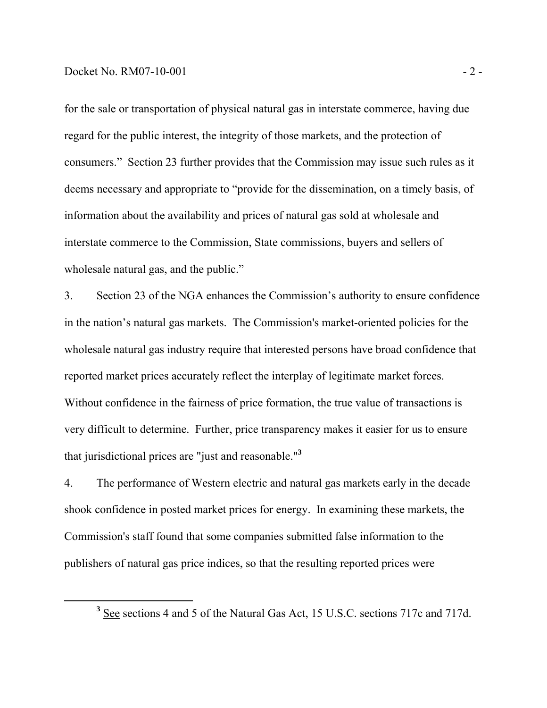for the sale or transportation of physical natural gas in interstate commerce, having due regard for the public interest, the integrity of those markets, and the protection of consumers." Section 23 further provides that the Commission may issue such rules as it deems necessary and appropriate to "provide for the dissemination, on a timely basis, of information about the availability and prices of natural gas sold at wholesale and interstate commerce to the Commission, State commissions, buyers and sellers of wholesale natural gas, and the public."

3. Section 23 of the NGA enhances the Commission's authority to ensure confidence in the nation's natural gas markets. The Commission's market-oriented policies for the wholesale natural gas industry require that interested persons have broad confidence that reported market prices accurately reflect the interplay of legitimate market forces. Without confidence in the fairness of price formation, the true value of transactions is very difficult to determine. Further, price transparency makes it easier for us to ensure that jurisdictional prices are "just and reasonable."**<sup>3</sup>**

4. The performance of Western electric and natural gas markets early in the decade shook confidence in posted market prices for energy. In examining these markets, the Commission's staff found that some companies submitted false information to the publishers of natural gas price indices, so that the resulting reported prices were

**<sup>3</sup>** <sup>3</sup> See sections 4 and 5 of the Natural Gas Act, 15 U.S.C. sections 717c and 717d.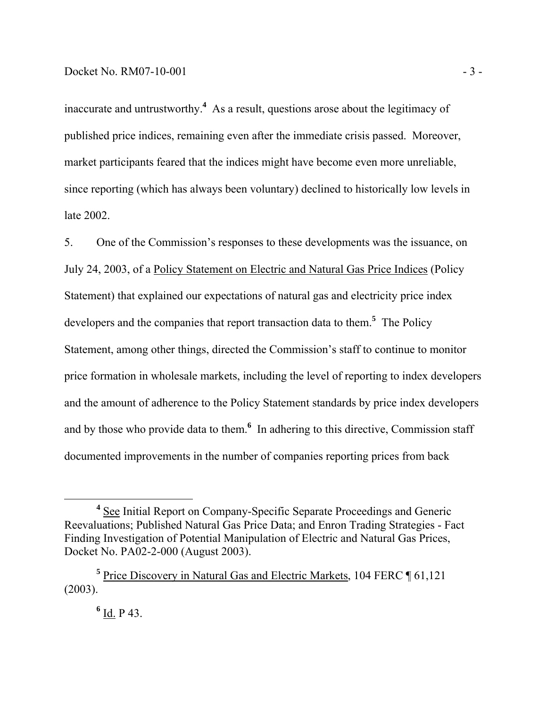inaccurate and untrustworthy.**<sup>4</sup>** As a result, questions arose about the legitimacy of published price indices, remaining even after the immediate crisis passed. Moreover, market participants feared that the indices might have become even more unreliable, since reporting (which has always been voluntary) declined to historically low levels in late 2002.

5. One of the Commission's responses to these developments was the issuance, on July 24, 2003, of a Policy Statement on Electric and Natural Gas Price Indices (Policy Statement) that explained our expectations of natural gas and electricity price index developers and the companies that report transaction data to them.**<sup>5</sup>** The Policy Statement, among other things, directed the Commission's staff to continue to monitor price formation in wholesale markets, including the level of reporting to index developers and the amount of adherence to the Policy Statement standards by price index developers and by those who provide data to them.<sup>6</sup> In adhering to this directive, Commission staff documented improvements in the number of companies reporting prices from back

**<sup>4</sup>** <sup>4</sup> See Initial Report on Company-Specific Separate Proceedings and Generic Reevaluations; Published Natural Gas Price Data; and Enron Trading Strategies - Fact Finding Investigation of Potential Manipulation of Electric and Natural Gas Prices, Docket No. PA02-2-000 (August 2003).

<sup>&</sup>lt;sup>5</sup> Price Discovery in Natural Gas and Electric Markets, 104 FERC ¶ 61,121 (2003).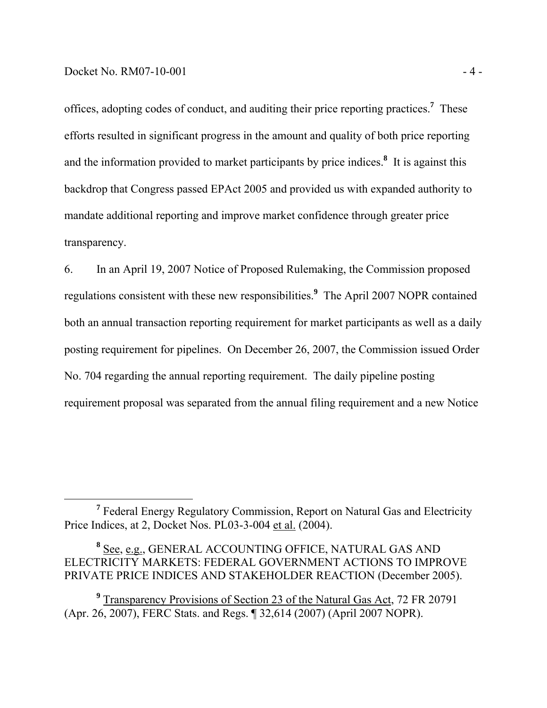offices, adopting codes of conduct, and auditing their price reporting practices.**<sup>7</sup>** These efforts resulted in significant progress in the amount and quality of both price reporting and the information provided to market participants by price indices.**<sup>8</sup>** It is against this backdrop that Congress passed EPAct 2005 and provided us with expanded authority to mandate additional reporting and improve market confidence through greater price transparency.

6. In an April 19, 2007 Notice of Proposed Rulemaking, the Commission proposed regulations consistent with these new responsibilities.**<sup>9</sup>** The April 2007 NOPR contained both an annual transaction reporting requirement for market participants as well as a daily posting requirement for pipelines. On December 26, 2007, the Commission issued Order No. 704 regarding the annual reporting requirement. The daily pipeline posting requirement proposal was separated from the annual filing requirement and a new Notice

**<sup>7</sup>** Federal Energy Regulatory Commission, Report on Natural Gas and Electricity Price Indices, at 2, Docket Nos. PL03-3-004 et al. (2004).

**<sup>8</sup>** See, e.g., GENERAL ACCOUNTING OFFICE, NATURAL GAS AND ELECTRICITY MARKETS: FEDERAL GOVERNMENT ACTIONS TO IMPROVE PRIVATE PRICE INDICES AND STAKEHOLDER REACTION (December 2005).

<sup>&</sup>lt;sup>9</sup> Transparency Provisions of Section 23 of the Natural Gas Act, 72 FR 20791 (Apr. 26, 2007), FERC Stats. and Regs. ¶ 32,614 (2007) (April 2007 NOPR).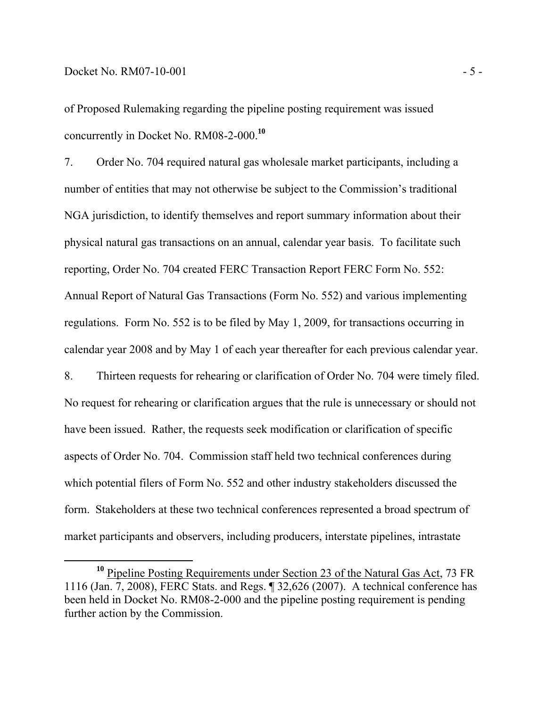of Proposed Rulemaking regarding the pipeline posting requirement was issued concurrently in Docket No. RM08-2-000.**<sup>10</sup>**

7. Order No. 704 required natural gas wholesale market participants, including a number of entities that may not otherwise be subject to the Commission's traditional NGA jurisdiction, to identify themselves and report summary information about their physical natural gas transactions on an annual, calendar year basis. To facilitate such reporting, Order No. 704 created FERC Transaction Report FERC Form No. 552: Annual Report of Natural Gas Transactions (Form No. 552) and various implementing regulations. Form No. 552 is to be filed by May 1, 2009, for transactions occurring in calendar year 2008 and by May 1 of each year thereafter for each previous calendar year. 8. Thirteen requests for rehearing or clarification of Order No. 704 were timely filed. No request for rehearing or clarification argues that the rule is unnecessary or should not have been issued. Rather, the requests seek modification or clarification of specific aspects of Order No. 704. Commission staff held two technical conferences during which potential filers of Form No. 552 and other industry stakeholders discussed the form. Stakeholders at these two technical conferences represented a broad spectrum of market participants and observers, including producers, interstate pipelines, intrastate

**<sup>10</sup>** Pipeline Posting Requirements under Section 23 of the Natural Gas Act, 73 FR 1116 (Jan. 7, 2008), FERC Stats. and Regs. ¶ 32,626 (2007). A technical conference has been held in Docket No. RM08-2-000 and the pipeline posting requirement is pending further action by the Commission.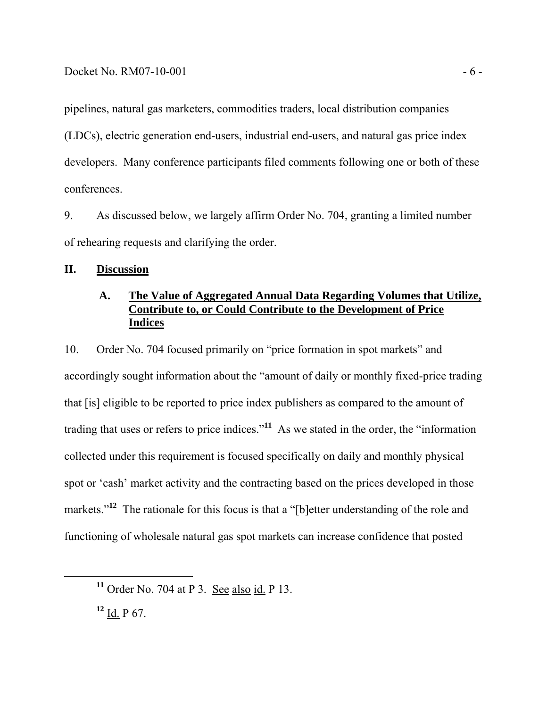pipelines, natural gas marketers, commodities traders, local distribution companies (LDCs), electric generation end-users, industrial end-users, and natural gas price index developers. Many conference participants filed comments following one or both of these conferences.

9. As discussed below, we largely affirm Order No. 704, granting a limited number of rehearing requests and clarifying the order.

# **II. Discussion**

# **A. The Value of Aggregated Annual Data Regarding Volumes that Utilize, Contribute to, or Could Contribute to the Development of Price Indices**

10. Order No. 704 focused primarily on "price formation in spot markets" and accordingly sought information about the "amount of daily or monthly fixed-price trading that [is] eligible to be reported to price index publishers as compared to the amount of trading that uses or refers to price indices."**<sup>11</sup>** As we stated in the order, the "information collected under this requirement is focused specifically on daily and monthly physical spot or 'cash' market activity and the contracting based on the prices developed in those markets."<sup>12</sup> The rationale for this focus is that a "[b]etter understanding of the role and functioning of wholesale natural gas spot markets can increase confidence that posted

**<sup>12</sup>** Id. P 67.

**<sup>11</sup>** Order No. 704 at P 3. See also id. P 13.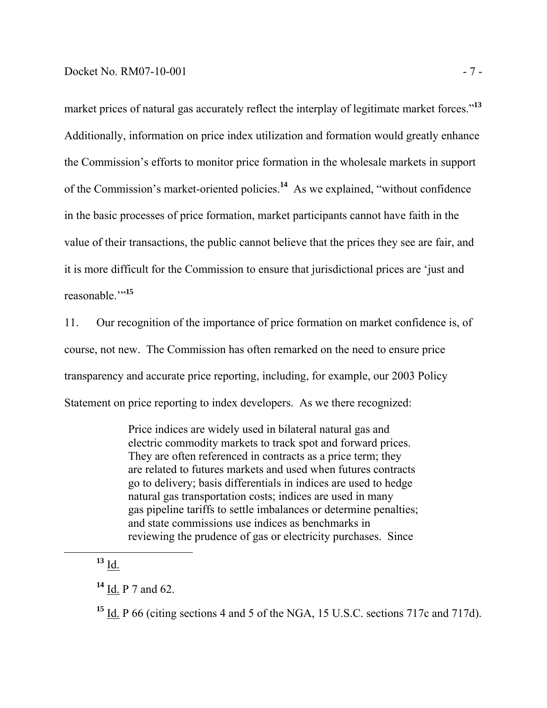market prices of natural gas accurately reflect the interplay of legitimate market forces.<sup>13</sup> Additionally, information on price index utilization and formation would greatly enhance the Commission's efforts to monitor price formation in the wholesale markets in support of the Commission's market-oriented policies.**<sup>14</sup>** As we explained, "without confidence in the basic processes of price formation, market participants cannot have faith in the value of their transactions, the public cannot believe that the prices they see are fair, and it is more difficult for the Commission to ensure that jurisdictional prices are 'just and reasonable."<sup>15</sup>

11. Our recognition of the importance of price formation on market confidence is, of course, not new. The Commission has often remarked on the need to ensure price transparency and accurate price reporting, including, for example, our 2003 Policy Statement on price reporting to index developers. As we there recognized:

> Price indices are widely used in bilateral natural gas and electric commodity markets to track spot and forward prices. They are often referenced in contracts as a price term; they are related to futures markets and used when futures contracts go to delivery; basis differentials in indices are used to hedge natural gas transportation costs; indices are used in many gas pipeline tariffs to settle imbalances or determine penalties; and state commissions use indices as benchmarks in reviewing the prudence of gas or electricity purchases. Since

 $^{13}$  I<u>d.</u>

**<sup>14</sup>** Id. P 7 and 62.

**<sup>15</sup>** Id. P 66 (citing sections 4 and 5 of the NGA, 15 U.S.C. sections 717c and 717d).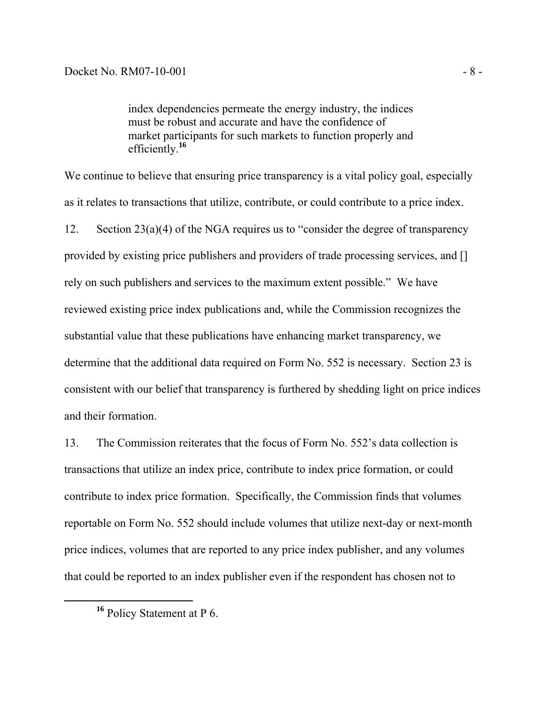index dependencies permeate the energy industry, the indices must be robust and accurate and have the confidence of market participants for such markets to function properly and efficiently.**<sup>16</sup>**

We continue to believe that ensuring price transparency is a vital policy goal, especially as it relates to transactions that utilize, contribute, or could contribute to a price index. 12. Section 23(a)(4) of the NGA requires us to "consider the degree of transparency provided by existing price publishers and providers of trade processing services, and [] rely on such publishers and services to the maximum extent possible." We have reviewed existing price index publications and, while the Commission recognizes the substantial value that these publications have enhancing market transparency, we determine that the additional data required on Form No. 552 is necessary. Section 23 is consistent with our belief that transparency is furthered by shedding light on price indices and their formation.

13. The Commission reiterates that the focus of Form No. 552's data collection is transactions that utilize an index price, contribute to index price formation, or could contribute to index price formation. Specifically, the Commission finds that volumes reportable on Form No. 552 should include volumes that utilize next-day or next-month price indices, volumes that are reported to any price index publisher, and any volumes that could be reported to an index publisher even if the respondent has chosen not to

**<sup>16</sup>** Policy Statement at P 6.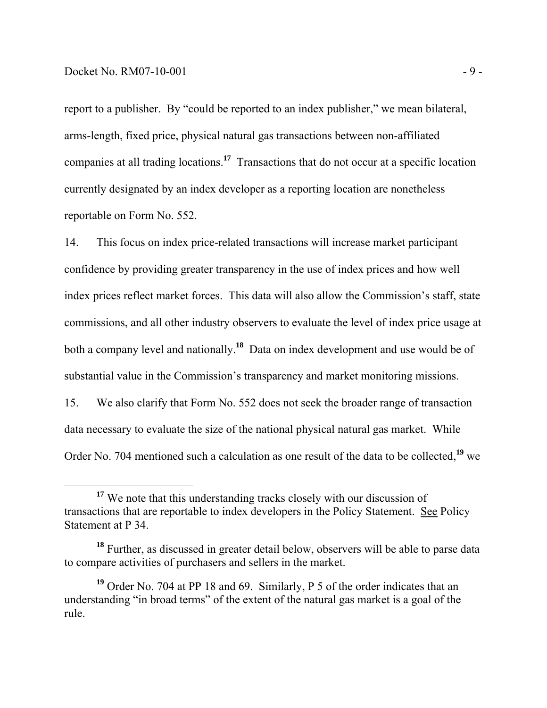report to a publisher. By "could be reported to an index publisher," we mean bilateral, arms-length, fixed price, physical natural gas transactions between non-affiliated companies at all trading locations.**<sup>17</sup>** Transactions that do not occur at a specific location currently designated by an index developer as a reporting location are nonetheless reportable on Form No. 552.

14. This focus on index price-related transactions will increase market participant confidence by providing greater transparency in the use of index prices and how well index prices reflect market forces. This data will also allow the Commission's staff, state commissions, and all other industry observers to evaluate the level of index price usage at both a company level and nationally.**<sup>18</sup>** Data on index development and use would be of substantial value in the Commission's transparency and market monitoring missions.

15. We also clarify that Form No. 552 does not seek the broader range of transaction data necessary to evaluate the size of the national physical natural gas market. While Order No. 704 mentioned such a calculation as one result of the data to be collected,**<sup>19</sup>** we

<sup>&</sup>lt;sup>17</sup> We note that this understanding tracks closely with our discussion of transactions that are reportable to index developers in the Policy Statement. See Policy Statement at P 34.

**<sup>18</sup>** Further, as discussed in greater detail below, observers will be able to parse data to compare activities of purchasers and sellers in the market.

**<sup>19</sup>** Order No. 704 at PP 18 and 69. Similarly, P 5 of the order indicates that an understanding "in broad terms" of the extent of the natural gas market is a goal of the rule.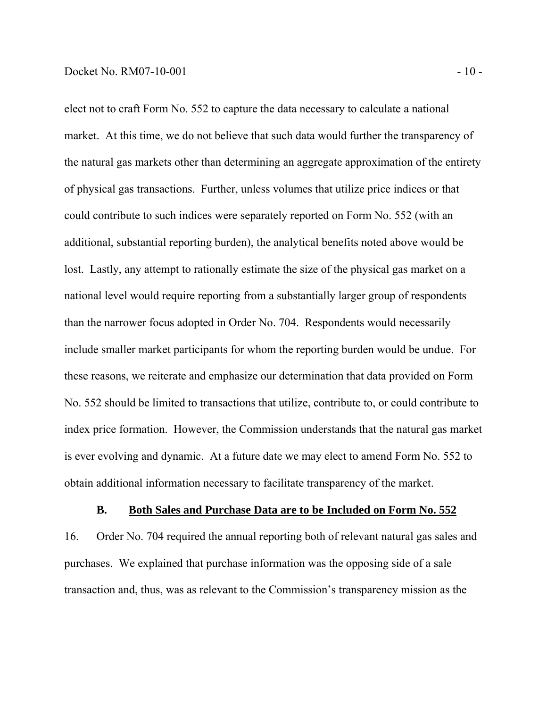elect not to craft Form No. 552 to capture the data necessary to calculate a national market. At this time, we do not believe that such data would further the transparency of the natural gas markets other than determining an aggregate approximation of the entirety of physical gas transactions. Further, unless volumes that utilize price indices or that could contribute to such indices were separately reported on Form No. 552 (with an additional, substantial reporting burden), the analytical benefits noted above would be lost. Lastly, any attempt to rationally estimate the size of the physical gas market on a national level would require reporting from a substantially larger group of respondents than the narrower focus adopted in Order No. 704. Respondents would necessarily include smaller market participants for whom the reporting burden would be undue. For these reasons, we reiterate and emphasize our determination that data provided on Form No. 552 should be limited to transactions that utilize, contribute to, or could contribute to index price formation. However, the Commission understands that the natural gas market is ever evolving and dynamic. At a future date we may elect to amend Form No. 552 to obtain additional information necessary to facilitate transparency of the market.

#### **B. Both Sales and Purchase Data are to be Included on Form No. 552**

16. Order No. 704 required the annual reporting both of relevant natural gas sales and purchases. We explained that purchase information was the opposing side of a sale transaction and, thus, was as relevant to the Commission's transparency mission as the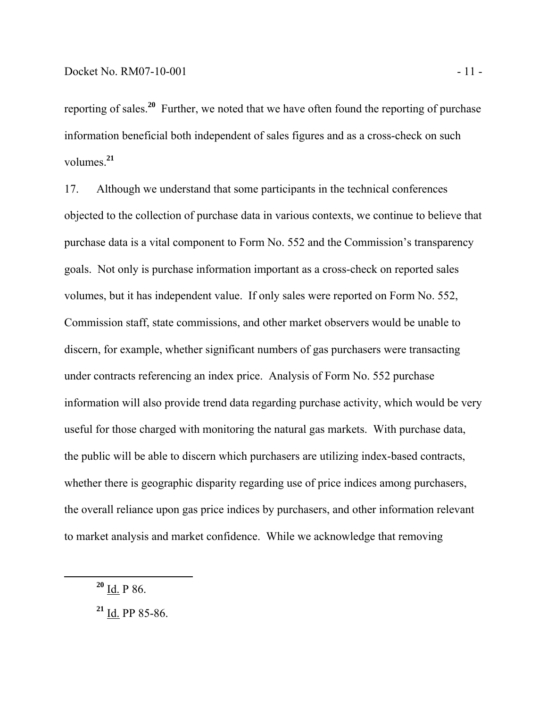reporting of sales.**<sup>20</sup>** Further, we noted that we have often found the reporting of purchase information beneficial both independent of sales figures and as a cross-check on such volumes.**<sup>21</sup>**

17. Although we understand that some participants in the technical conferences objected to the collection of purchase data in various contexts, we continue to believe that purchase data is a vital component to Form No. 552 and the Commission's transparency goals. Not only is purchase information important as a cross-check on reported sales volumes, but it has independent value. If only sales were reported on Form No. 552, Commission staff, state commissions, and other market observers would be unable to discern, for example, whether significant numbers of gas purchasers were transacting under contracts referencing an index price. Analysis of Form No. 552 purchase information will also provide trend data regarding purchase activity, which would be very useful for those charged with monitoring the natural gas markets. With purchase data, the public will be able to discern which purchasers are utilizing index-based contracts, whether there is geographic disparity regarding use of price indices among purchasers, the overall reliance upon gas price indices by purchasers, and other information relevant to market analysis and market confidence. While we acknowledge that removing

**<sup>20</sup>** Id. P 86.

**<sup>21</sup>** Id. PP 85-86.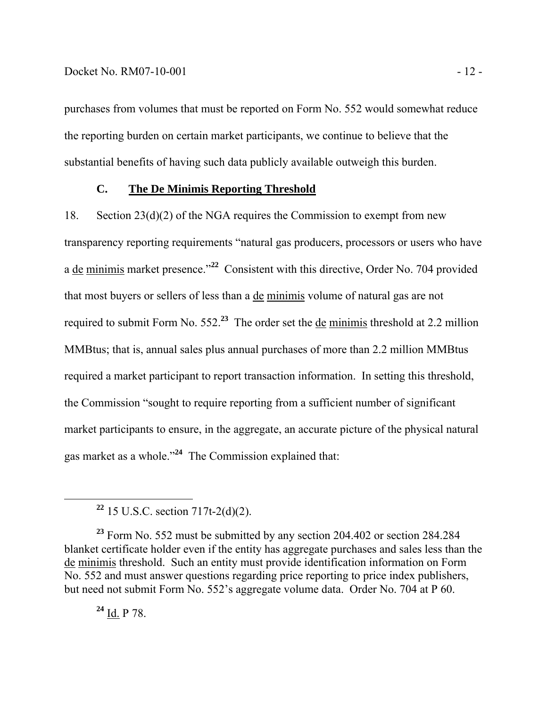purchases from volumes that must be reported on Form No. 552 would somewhat reduce the reporting burden on certain market participants, we continue to believe that the substantial benefits of having such data publicly available outweigh this burden.

### **C. The De Minimis Reporting Threshold**

18. Section 23(d)(2) of the NGA requires the Commission to exempt from new transparency reporting requirements "natural gas producers, processors or users who have a de minimis market presence."**<sup>22</sup>** Consistent with this directive, Order No. 704 provided that most buyers or sellers of less than a de minimis volume of natural gas are not required to submit Form No. 552.**<sup>23</sup>** The order set the de minimis threshold at 2.2 million MMBtus; that is, annual sales plus annual purchases of more than 2.2 million MMBtus required a market participant to report transaction information. In setting this threshold, the Commission "sought to require reporting from a sufficient number of significant market participants to ensure, in the aggregate, an accurate picture of the physical natural gas market as a whole."**<sup>24</sup>** The Commission explained that:

**<sup>22</sup>** 15 U.S.C. section 717t-2(d)(2).

**<sup>23</sup>** Form No. 552 must be submitted by any section 204.402 or section 284.284 blanket certificate holder even if the entity has aggregate purchases and sales less than the de minimis threshold. Such an entity must provide identification information on Form No. 552 and must answer questions regarding price reporting to price index publishers, but need not submit Form No. 552's aggregate volume data. Order No. 704 at P 60.

**<sup>24</sup>** Id. P 78.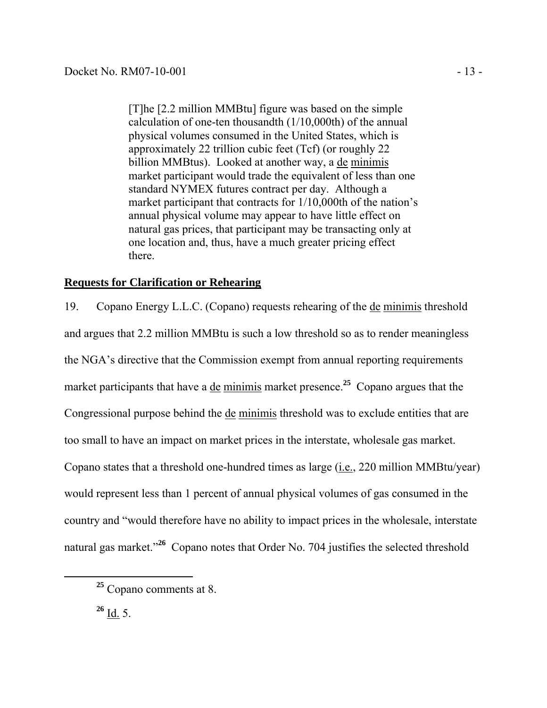[T]he [2.2 million MMBtu] figure was based on the simple calculation of one-ten thousandth (1/10,000th) of the annual physical volumes consumed in the United States, which is approximately 22 trillion cubic feet (Tcf) (or roughly 22 billion MMBtus). Looked at another way, a de minimis market participant would trade the equivalent of less than one standard NYMEX futures contract per day. Although a market participant that contracts for 1/10,000th of the nation's annual physical volume may appear to have little effect on natural gas prices, that participant may be transacting only at one location and, thus, have a much greater pricing effect there.

# **Requests for Clarification or Rehearing**

19. Copano Energy L.L.C. (Copano) requests rehearing of the de minimis threshold and argues that 2.2 million MMBtu is such a low threshold so as to render meaningless the NGA's directive that the Commission exempt from annual reporting requirements market participants that have a de minimis market presence.**<sup>25</sup>** Copano argues that the Congressional purpose behind the de minimis threshold was to exclude entities that are too small to have an impact on market prices in the interstate, wholesale gas market. Copano states that a threshold one-hundred times as large (i.e., 220 million MMBtu/year) would represent less than 1 percent of annual physical volumes of gas consumed in the country and "would therefore have no ability to impact prices in the wholesale, interstate natural gas market.<sup>326</sup> Copano notes that Order No. 704 justifies the selected threshold

**<sup>26</sup>** Id. 5.

**<sup>25</sup>** Copano comments at 8.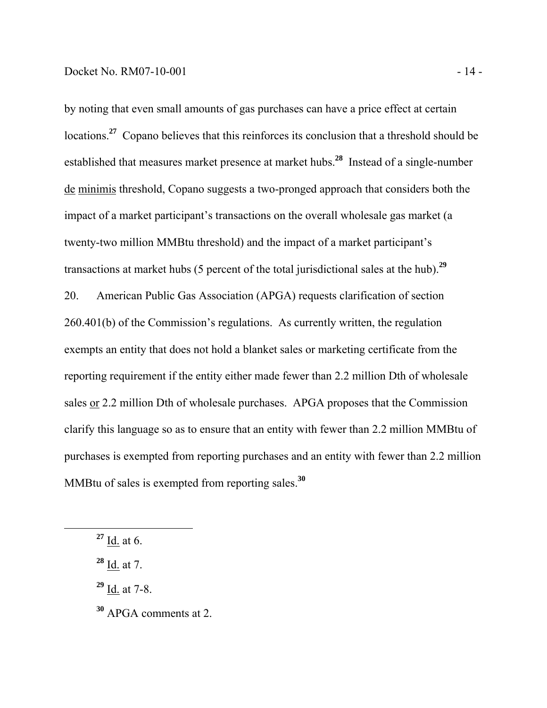by noting that even small amounts of gas purchases can have a price effect at certain locations.<sup>27</sup> Copano believes that this reinforces its conclusion that a threshold should be established that measures market presence at market hubs.**<sup>28</sup>** Instead of a single-number de minimis threshold, Copano suggests a two-pronged approach that considers both the impact of a market participant's transactions on the overall wholesale gas market (a twenty-two million MMBtu threshold) and the impact of a market participant's transactions at market hubs (5 percent of the total jurisdictional sales at the hub).**<sup>29</sup>** 20. American Public Gas Association (APGA) requests clarification of section 260.401(b) of the Commission's regulations. As currently written, the regulation exempts an entity that does not hold a blanket sales or marketing certificate from the reporting requirement if the entity either made fewer than 2.2 million Dth of wholesale sales or 2.2 million Dth of wholesale purchases. APGA proposes that the Commission clarify this language so as to ensure that an entity with fewer than 2.2 million MMBtu of purchases is exempted from reporting purchases and an entity with fewer than 2.2 million MMBtu of sales is exempted from reporting sales.**<sup>30</sup>**

**<sup>27</sup>** Id. at 6.

**<sup>28</sup>** Id. at 7.

**<sup>29</sup>** Id. at 7-8.

**<sup>30</sup>** APGA comments at 2.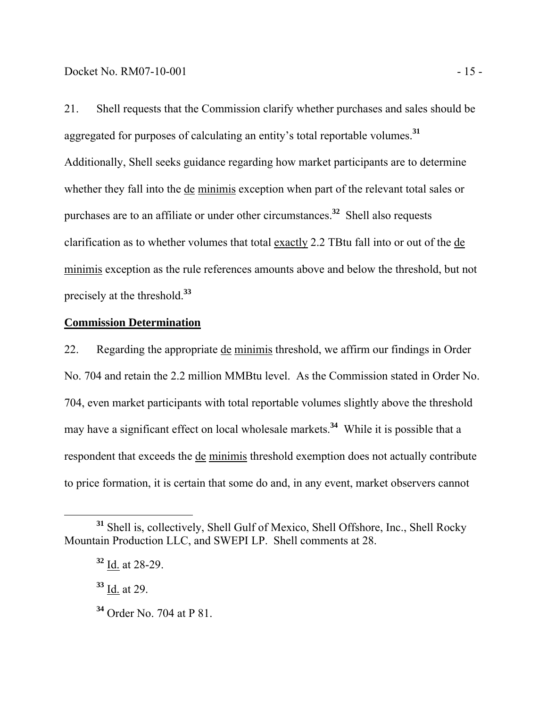21. Shell requests that the Commission clarify whether purchases and sales should be aggregated for purposes of calculating an entity's total reportable volumes.**<sup>31</sup>** Additionally, Shell seeks guidance regarding how market participants are to determine whether they fall into the de minimis exception when part of the relevant total sales or purchases are to an affiliate or under other circumstances.**<sup>32</sup>** Shell also requests clarification as to whether volumes that total exactly 2.2 TBtu fall into or out of the de minimis exception as the rule references amounts above and below the threshold, but not precisely at the threshold.**<sup>33</sup>**

# **Commission Determination**

22. Regarding the appropriate de minimis threshold, we affirm our findings in Order No. 704 and retain the 2.2 million MMBtu level. As the Commission stated in Order No. 704, even market participants with total reportable volumes slightly above the threshold may have a significant effect on local wholesale markets.**<sup>34</sup>** While it is possible that a respondent that exceeds the de minimis threshold exemption does not actually contribute to price formation, it is certain that some do and, in any event, market observers cannot

**<sup>31</sup>** Shell is, collectively, Shell Gulf of Mexico, Shell Offshore, Inc., Shell Rocky Mountain Production LLC, and SWEPI LP. Shell comments at 28.

**<sup>32</sup>** Id. at 28-29.

**<sup>33</sup>** Id. at 29.

**<sup>34</sup>** Order No. 704 at P 81.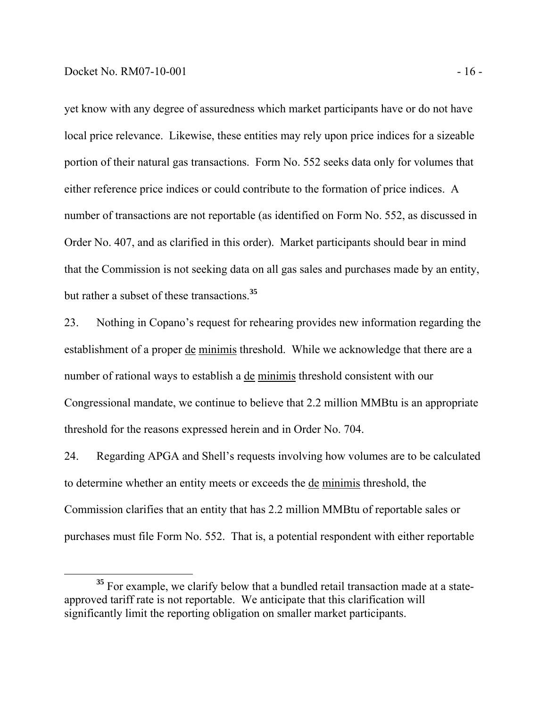yet know with any degree of assuredness which market participants have or do not have local price relevance. Likewise, these entities may rely upon price indices for a sizeable portion of their natural gas transactions. Form No. 552 seeks data only for volumes that either reference price indices or could contribute to the formation of price indices. A number of transactions are not reportable (as identified on Form No. 552, as discussed in Order No. 407, and as clarified in this order). Market participants should bear in mind that the Commission is not seeking data on all gas sales and purchases made by an entity, but rather a subset of these transactions.**<sup>35</sup>**

23. Nothing in Copano's request for rehearing provides new information regarding the establishment of a proper de minimis threshold. While we acknowledge that there are a number of rational ways to establish a de minimis threshold consistent with our Congressional mandate, we continue to believe that 2.2 million MMBtu is an appropriate threshold for the reasons expressed herein and in Order No. 704.

24. Regarding APGA and Shell's requests involving how volumes are to be calculated to determine whether an entity meets or exceeds the de minimis threshold, the Commission clarifies that an entity that has 2.2 million MMBtu of reportable sales or purchases must file Form No. 552. That is, a potential respondent with either reportable

<sup>&</sup>lt;sup>35</sup> For example, we clarify below that a bundled retail transaction made at a stateapproved tariff rate is not reportable. We anticipate that this clarification will significantly limit the reporting obligation on smaller market participants.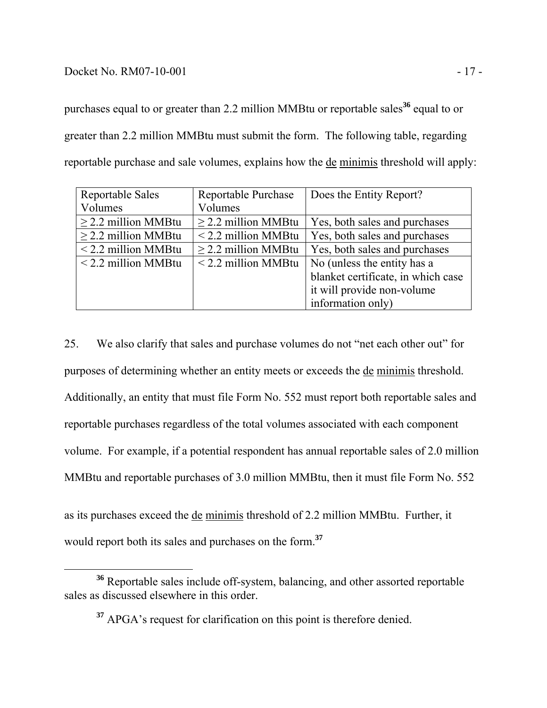### Docket No. RM07-10-001 - 17 -

purchases equal to or greater than 2.2 million MMBtu or reportable sales**<sup>36</sup>** equal to or greater than 2.2 million MMBtu must submit the form. The following table, regarding reportable purchase and sale volumes, explains how the de minimis threshold will apply:

| <b>Reportable Sales</b>  | Reportable Purchase      | Does the Entity Report?            |
|--------------------------|--------------------------|------------------------------------|
| Volumes                  | Volumes                  |                                    |
| $\geq$ 2.2 million MMBtu | $\geq$ 2.2 million MMBtu | Yes, both sales and purchases      |
| $\geq$ 2.2 million MMBtu | $<$ 2.2 million MMBtu    | Yes, both sales and purchases      |
| $<$ 2.2 million MMBtu    | $\geq$ 2.2 million MMBtu | Yes, both sales and purchases      |
| $\le$ 2.2 million MMBtu  | $<$ 2.2 million MMBtu    | No (unless the entity has a        |
|                          |                          | blanket certificate, in which case |
|                          |                          | it will provide non-volume         |
|                          |                          | information only)                  |

25. We also clarify that sales and purchase volumes do not "net each other out" for purposes of determining whether an entity meets or exceeds the de minimis threshold. Additionally, an entity that must file Form No. 552 must report both reportable sales and reportable purchases regardless of the total volumes associated with each component volume. For example, if a potential respondent has annual reportable sales of 2.0 million MMBtu and reportable purchases of 3.0 million MMBtu, then it must file Form No. 552

as its purchases exceed the de minimis threshold of 2.2 million MMBtu. Further, it would report both its sales and purchases on the form.**<sup>37</sup>**

**<sup>36</sup>** Reportable sales include off-system, balancing, and other assorted reportable sales as discussed elsewhere in this order.

**<sup>37</sup>** APGA's request for clarification on this point is therefore denied.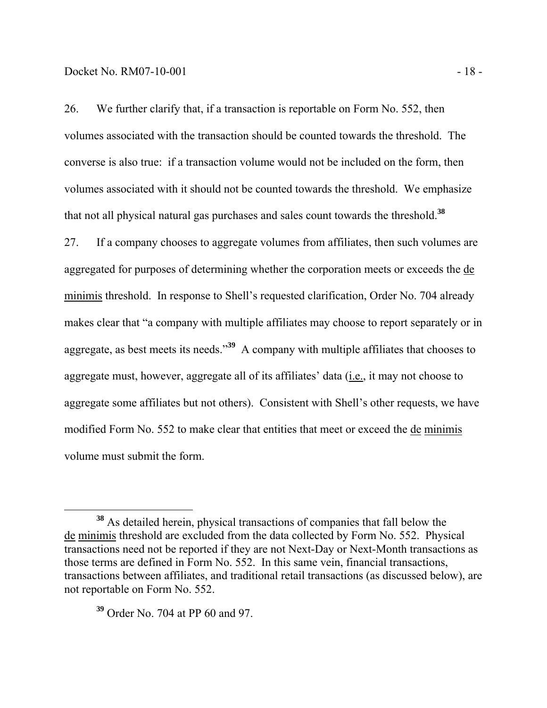26. We further clarify that, if a transaction is reportable on Form No. 552, then volumes associated with the transaction should be counted towards the threshold. The converse is also true: if a transaction volume would not be included on the form, then volumes associated with it should not be counted towards the threshold. We emphasize that not all physical natural gas purchases and sales count towards the threshold.**<sup>38</sup>**

27. If a company chooses to aggregate volumes from affiliates, then such volumes are aggregated for purposes of determining whether the corporation meets or exceeds the de minimis threshold. In response to Shell's requested clarification, Order No. 704 already makes clear that "a company with multiple affiliates may choose to report separately or in aggregate, as best meets its needs."**<sup>39</sup>** A company with multiple affiliates that chooses to aggregate must, however, aggregate all of its affiliates' data (i.e., it may not choose to aggregate some affiliates but not others). Consistent with Shell's other requests, we have modified Form No. 552 to make clear that entities that meet or exceed the de minimis volume must submit the form.

**<sup>38</sup>** As detailed herein, physical transactions of companies that fall below the de minimis threshold are excluded from the data collected by Form No. 552. Physical transactions need not be reported if they are not Next-Day or Next-Month transactions as those terms are defined in Form No. 552. In this same vein, financial transactions, transactions between affiliates, and traditional retail transactions (as discussed below), are not reportable on Form No. 552.

**<sup>39</sup>** Order No. 704 at PP 60 and 97.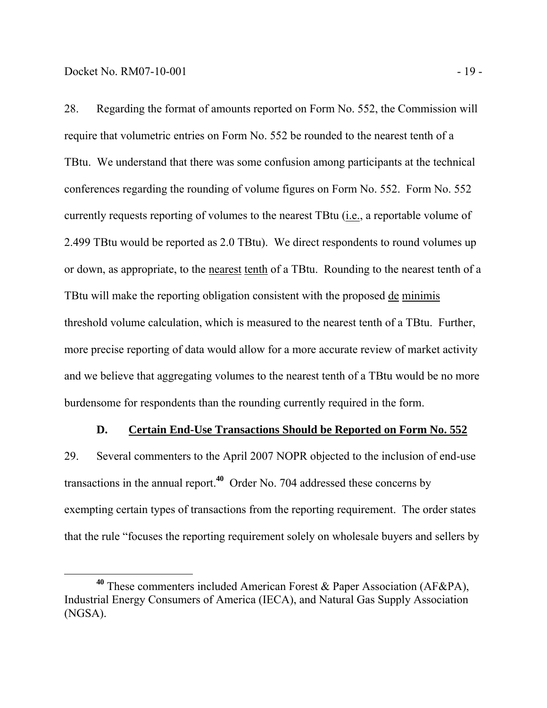28. Regarding the format of amounts reported on Form No. 552, the Commission will require that volumetric entries on Form No. 552 be rounded to the nearest tenth of a TBtu. We understand that there was some confusion among participants at the technical conferences regarding the rounding of volume figures on Form No. 552. Form No. 552 currently requests reporting of volumes to the nearest TBtu (i.e., a reportable volume of 2.499 TBtu would be reported as 2.0 TBtu). We direct respondents to round volumes up or down, as appropriate, to the nearest tenth of a TBtu. Rounding to the nearest tenth of a TBtu will make the reporting obligation consistent with the proposed de minimis threshold volume calculation, which is measured to the nearest tenth of a TBtu. Further, more precise reporting of data would allow for a more accurate review of market activity and we believe that aggregating volumes to the nearest tenth of a TBtu would be no more burdensome for respondents than the rounding currently required in the form.

### **D. Certain End-Use Transactions Should be Reported on Form No. 552**

29. Several commenters to the April 2007 NOPR objected to the inclusion of end-use transactions in the annual report.**<sup>40</sup>** Order No. 704 addressed these concerns by exempting certain types of transactions from the reporting requirement. The order states that the rule "focuses the reporting requirement solely on wholesale buyers and sellers by

**<sup>40</sup>** These commenters included American Forest & Paper Association (AF&PA), Industrial Energy Consumers of America (IECA), and Natural Gas Supply Association (NGSA).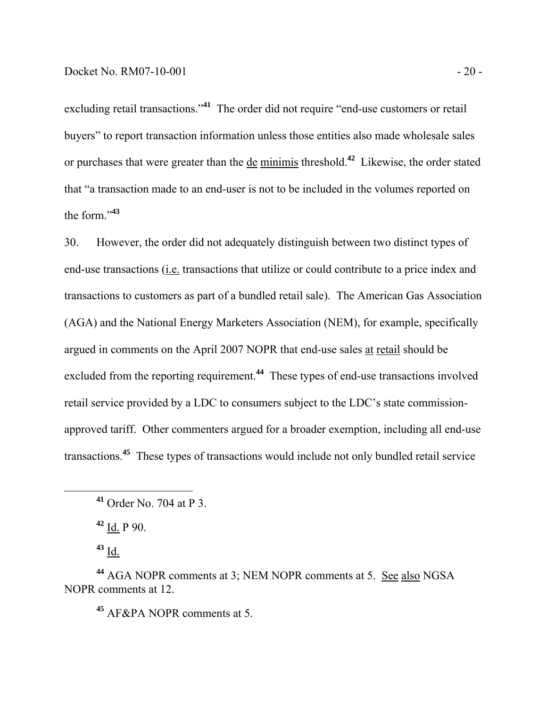excluding retail transactions."<sup>41</sup> The order did not require "end-use customers or retail buyers" to report transaction information unless those entities also made wholesale sales or purchases that were greater than the de minimis threshold.**<sup>42</sup>** Likewise, the order stated that "a transaction made to an end-user is not to be included in the volumes reported on the form."**<sup>43</sup>**

30. However, the order did not adequately distinguish between two distinct types of end-use transactions (i.e. transactions that utilize or could contribute to a price index and transactions to customers as part of a bundled retail sale). The American Gas Association (AGA) and the National Energy Marketers Association (NEM), for example, specifically argued in comments on the April 2007 NOPR that end-use sales at retail should be excluded from the reporting requirement.**<sup>44</sup>** These types of end-use transactions involved retail service provided by a LDC to consumers subject to the LDC's state commissionapproved tariff. Other commenters argued for a broader exemption, including all end-use transactions.**<sup>45</sup>** These types of transactions would include not only bundled retail service

**<sup>42</sup>** Id. P 90.

**<sup>43</sup>** Id.

**<sup>44</sup>** AGA NOPR comments at 3; NEM NOPR comments at 5. See also NGSA NOPR comments at 12.

**<sup>45</sup>** AF&PA NOPR comments at 5.

**<sup>41</sup>** Order No. 704 at P 3.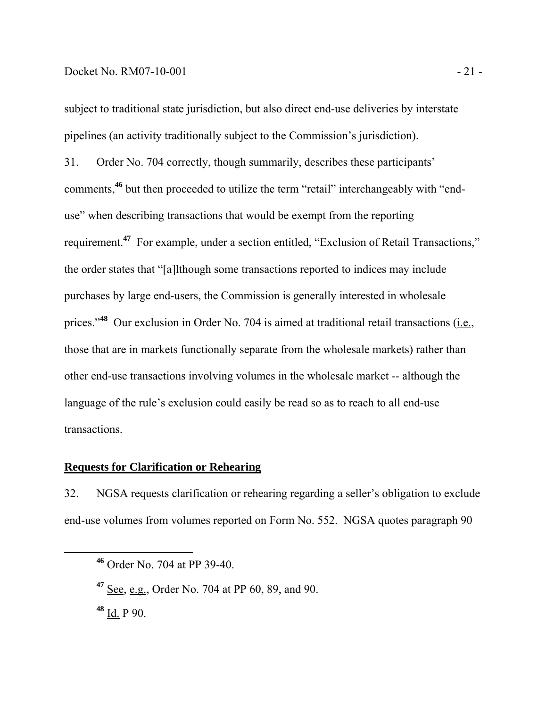#### Docket No. RM07-10-001 - 21 -

subject to traditional state jurisdiction, but also direct end-use deliveries by interstate pipelines (an activity traditionally subject to the Commission's jurisdiction).

31. Order No. 704 correctly, though summarily, describes these participants' comments,**<sup>46</sup>** but then proceeded to utilize the term "retail" interchangeably with "enduse" when describing transactions that would be exempt from the reporting requirement.**<sup>47</sup>** For example, under a section entitled, "Exclusion of Retail Transactions," the order states that "[a]lthough some transactions reported to indices may include purchases by large end-users, the Commission is generally interested in wholesale prices."<sup>48</sup> Our exclusion in Order No. 704 is aimed at traditional retail transactions (i.e., those that are in markets functionally separate from the wholesale markets) rather than other end-use transactions involving volumes in the wholesale market -- although the language of the rule's exclusion could easily be read so as to reach to all end-use transactions.

#### **Requests for Clarification or Rehearing**

32. NGSA requests clarification or rehearing regarding a seller's obligation to exclude end-use volumes from volumes reported on Form No. 552. NGSA quotes paragraph 90

**<sup>48</sup>** Id. P 90.

**<sup>46</sup>** Order No. 704 at PP 39-40.

**<sup>47</sup>** See, e.g., Order No. 704 at PP 60, 89, and 90.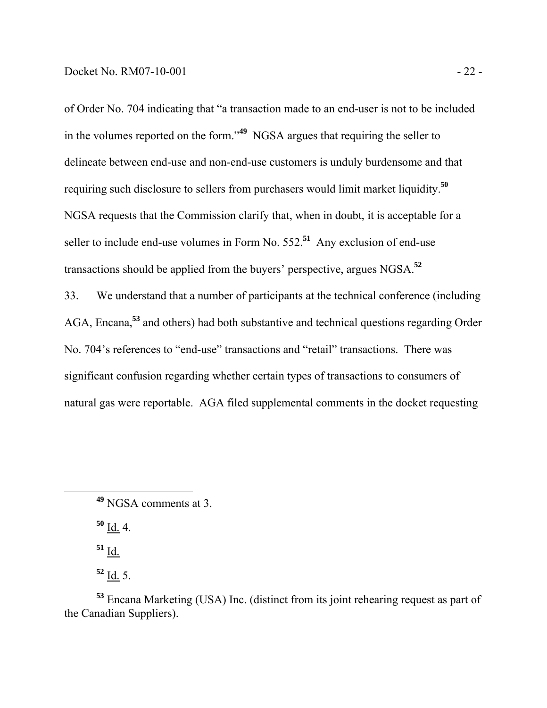of Order No. 704 indicating that "a transaction made to an end-user is not to be included in the volumes reported on the form."**<sup>49</sup>** NGSA argues that requiring the seller to delineate between end-use and non-end-use customers is unduly burdensome and that requiring such disclosure to sellers from purchasers would limit market liquidity.**<sup>50</sup>** NGSA requests that the Commission clarify that, when in doubt, it is acceptable for a seller to include end-use volumes in Form No. 552.**<sup>51</sup>** Any exclusion of end-use transactions should be applied from the buyers' perspective, argues NGSA.**<sup>52</sup>**

33. We understand that a number of participants at the technical conference (including AGA, Encana,**<sup>53</sup>** and others) had both substantive and technical questions regarding Order No. 704's references to "end-use" transactions and "retail" transactions. There was significant confusion regarding whether certain types of transactions to consumers of natural gas were reportable. AGA filed supplemental comments in the docket requesting

**<sup>50</sup>** Id. 4.

**<sup>51</sup>** Id.

**<sup>52</sup>** Id. 5.

**<sup>53</sup>** Encana Marketing (USA) Inc. (distinct from its joint rehearing request as part of the Canadian Suppliers).

**<sup>49</sup>** NGSA comments at 3.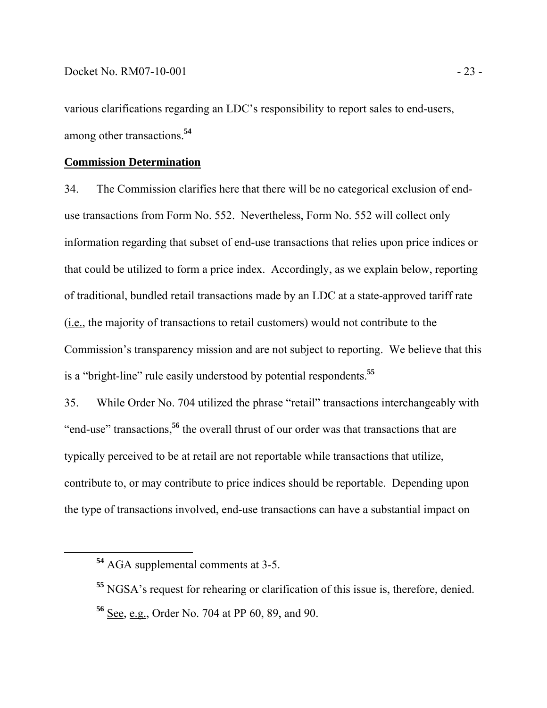various clarifications regarding an LDC's responsibility to report sales to end-users, among other transactions.**<sup>54</sup>**

# **Commission Determination**

34. The Commission clarifies here that there will be no categorical exclusion of enduse transactions from Form No. 552. Nevertheless, Form No. 552 will collect only information regarding that subset of end-use transactions that relies upon price indices or that could be utilized to form a price index. Accordingly, as we explain below, reporting of traditional, bundled retail transactions made by an LDC at a state-approved tariff rate (i.e., the majority of transactions to retail customers) would not contribute to the Commission's transparency mission and are not subject to reporting. We believe that this is a "bright-line" rule easily understood by potential respondents.**<sup>55</sup>**

35. While Order No. 704 utilized the phrase "retail" transactions interchangeably with "end-use" transactions,**<sup>56</sup>** the overall thrust of our order was that transactions that are typically perceived to be at retail are not reportable while transactions that utilize, contribute to, or may contribute to price indices should be reportable. Depending upon the type of transactions involved, end-use transactions can have a substantial impact on

**<sup>54</sup>** AGA supplemental comments at 3-5.

**<sup>55</sup>** NGSA's request for rehearing or clarification of this issue is, therefore, denied. **<sup>56</sup>** See, e.g., Order No. 704 at PP 60, 89, and 90.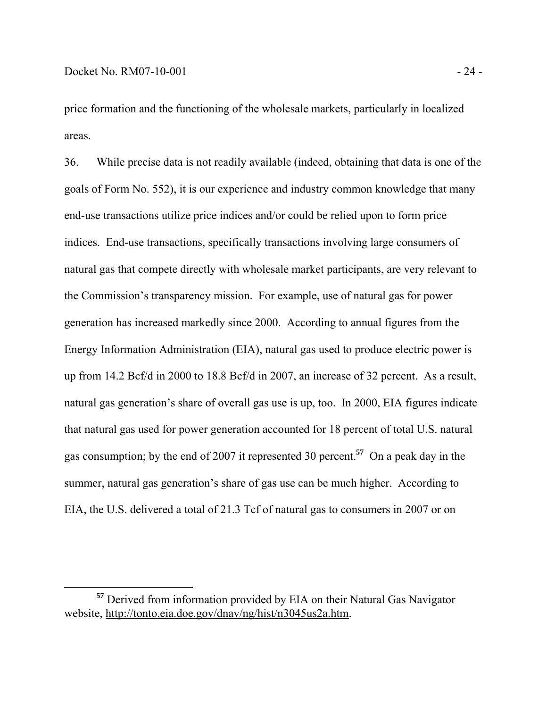price formation and the functioning of the wholesale markets, particularly in localized areas.

36. While precise data is not readily available (indeed, obtaining that data is one of the goals of Form No. 552), it is our experience and industry common knowledge that many end-use transactions utilize price indices and/or could be relied upon to form price indices. End-use transactions, specifically transactions involving large consumers of natural gas that compete directly with wholesale market participants, are very relevant to the Commission's transparency mission. For example, use of natural gas for power generation has increased markedly since 2000. According to annual figures from the Energy Information Administration (EIA), natural gas used to produce electric power is up from 14.2 Bcf/d in 2000 to 18.8 Bcf/d in 2007, an increase of 32 percent. As a result, natural gas generation's share of overall gas use is up, too. In 2000, EIA figures indicate that natural gas used for power generation accounted for 18 percent of total U.S. natural gas consumption; by the end of 2007 it represented 30 percent.**<sup>57</sup>** On a peak day in the summer, natural gas generation's share of gas use can be much higher. According to EIA, the U.S. delivered a total of 21.3 Tcf of natural gas to consumers in 2007 or on

**<sup>57</sup>** Derived from information provided by EIA on their Natural Gas Navigator website, http://tonto.eia.doe.gov/dnav/ng/hist/n3045us2a.htm.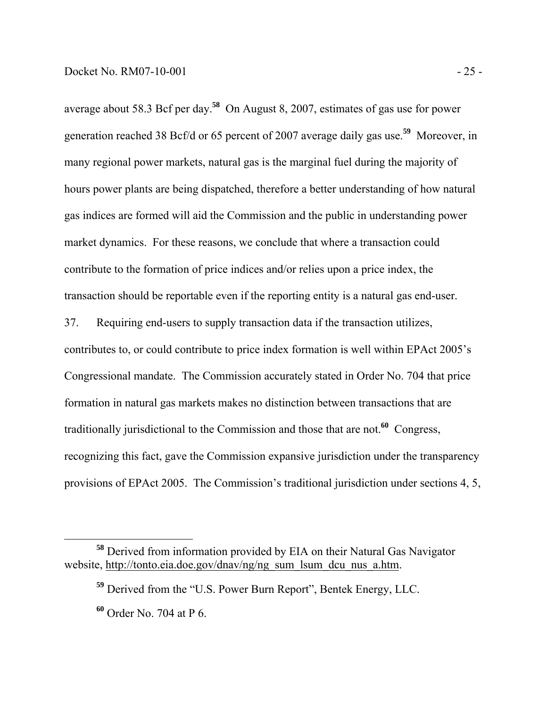average about 58.3 Bcf per day.**<sup>58</sup>** On August 8, 2007, estimates of gas use for power generation reached 38 Bcf/d or 65 percent of 2007 average daily gas use.**<sup>59</sup>** Moreover, in many regional power markets, natural gas is the marginal fuel during the majority of hours power plants are being dispatched, therefore a better understanding of how natural gas indices are formed will aid the Commission and the public in understanding power market dynamics. For these reasons, we conclude that where a transaction could contribute to the formation of price indices and/or relies upon a price index, the transaction should be reportable even if the reporting entity is a natural gas end-user.

37. Requiring end-users to supply transaction data if the transaction utilizes, contributes to, or could contribute to price index formation is well within EPAct 2005's Congressional mandate. The Commission accurately stated in Order No. 704 that price formation in natural gas markets makes no distinction between transactions that are traditionally jurisdictional to the Commission and those that are not.**<sup>60</sup>** Congress, recognizing this fact, gave the Commission expansive jurisdiction under the transparency provisions of EPAct 2005. The Commission's traditional jurisdiction under sections 4, 5,

**<sup>58</sup>** Derived from information provided by EIA on their Natural Gas Navigator website, http://tonto.eia.doe.gov/dnav/ng/ng\_sum\_lsum\_dcu\_nus\_a.htm.

**<sup>59</sup>** Derived from the "U.S. Power Burn Report", Bentek Energy, LLC.

**<sup>60</sup>** Order No. 704 at P 6.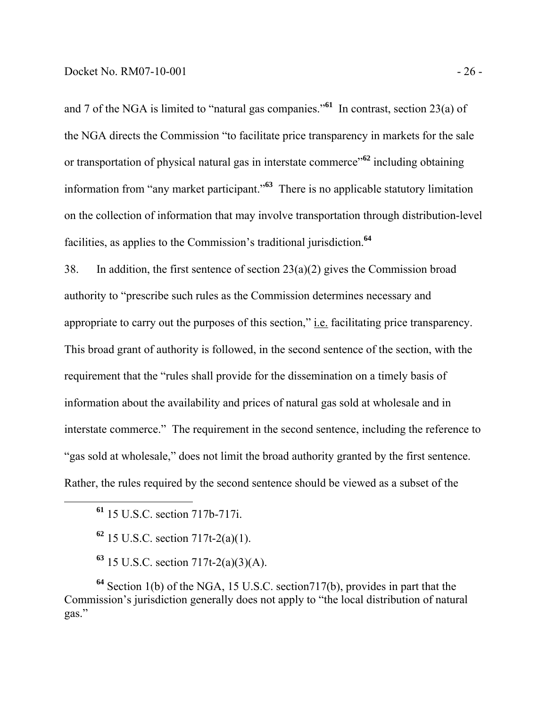and 7 of the NGA is limited to "natural gas companies."**<sup>61</sup>** In contrast, section 23(a) of the NGA directs the Commission "to facilitate price transparency in markets for the sale or transportation of physical natural gas in interstate commerce"**<sup>62</sup>** including obtaining information from "any market participant."**<sup>63</sup>** There is no applicable statutory limitation on the collection of information that may involve transportation through distribution-level facilities, as applies to the Commission's traditional jurisdiction.**<sup>64</sup>**

38. In addition, the first sentence of section  $23(a)(2)$  gives the Commission broad authority to "prescribe such rules as the Commission determines necessary and appropriate to carry out the purposes of this section," i.e. facilitating price transparency. This broad grant of authority is followed, in the second sentence of the section, with the requirement that the "rules shall provide for the dissemination on a timely basis of information about the availability and prices of natural gas sold at wholesale and in interstate commerce." The requirement in the second sentence, including the reference to "gas sold at wholesale," does not limit the broad authority granted by the first sentence. Rather, the rules required by the second sentence should be viewed as a subset of the

**<sup>61</sup>** 15 U.S.C. section 717b-717i.

**<sup>62</sup>** 15 U.S.C. section 717t-2(a)(1).

**<sup>63</sup>** 15 U.S.C. section 717t-2(a)(3)(A).

**<sup>64</sup>** Section 1(b) of the NGA, 15 U.S.C. section717(b), provides in part that the Commission's jurisdiction generally does not apply to "the local distribution of natural gas."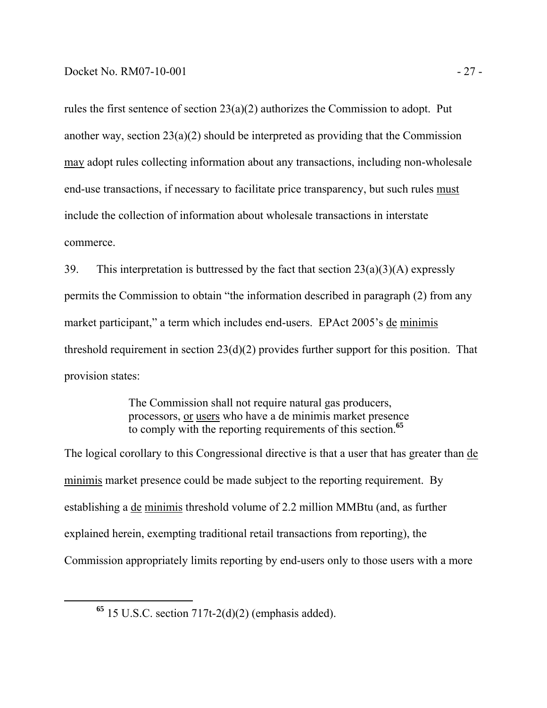rules the first sentence of section 23(a)(2) authorizes the Commission to adopt. Put another way, section 23(a)(2) should be interpreted as providing that the Commission may adopt rules collecting information about any transactions, including non-wholesale end-use transactions, if necessary to facilitate price transparency, but such rules must include the collection of information about wholesale transactions in interstate commerce.

39. This interpretation is buttressed by the fact that section  $23(a)(3)(A)$  expressly permits the Commission to obtain "the information described in paragraph (2) from any market participant," a term which includes end-users. EPAct 2005's de minimis threshold requirement in section 23(d)(2) provides further support for this position. That provision states:

> The Commission shall not require natural gas producers, processors, or users who have a de minimis market presence to comply with the reporting requirements of this section.**<sup>65</sup>**

The logical corollary to this Congressional directive is that a user that has greater than de minimis market presence could be made subject to the reporting requirement. By establishing a de minimis threshold volume of 2.2 million MMBtu (and, as further explained herein, exempting traditional retail transactions from reporting), the Commission appropriately limits reporting by end-users only to those users with a more

 $65$  15 U.S.C. section  $717t-2(d)(2)$  (emphasis added).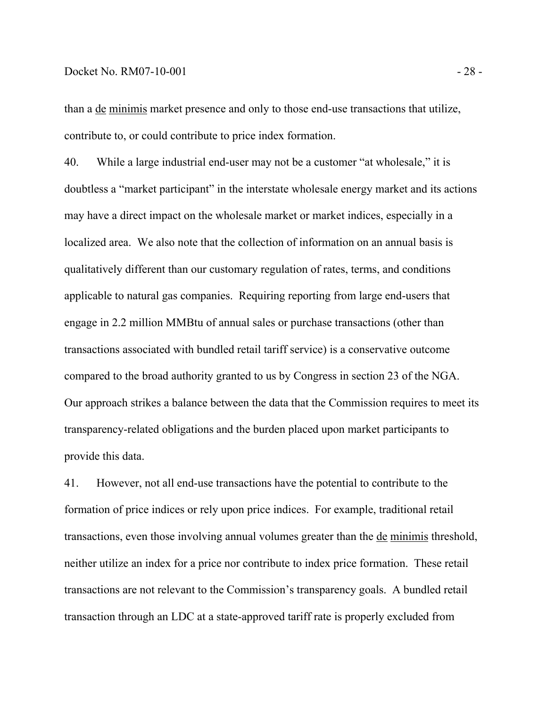#### Docket No. RM07-10-001 - 28 -

than a de minimis market presence and only to those end-use transactions that utilize, contribute to, or could contribute to price index formation.

40. While a large industrial end-user may not be a customer "at wholesale," it is doubtless a "market participant" in the interstate wholesale energy market and its actions may have a direct impact on the wholesale market or market indices, especially in a localized area. We also note that the collection of information on an annual basis is qualitatively different than our customary regulation of rates, terms, and conditions applicable to natural gas companies. Requiring reporting from large end-users that engage in 2.2 million MMBtu of annual sales or purchase transactions (other than transactions associated with bundled retail tariff service) is a conservative outcome compared to the broad authority granted to us by Congress in section 23 of the NGA. Our approach strikes a balance between the data that the Commission requires to meet its transparency-related obligations and the burden placed upon market participants to provide this data.

41. However, not all end-use transactions have the potential to contribute to the formation of price indices or rely upon price indices. For example, traditional retail transactions, even those involving annual volumes greater than the de minimis threshold, neither utilize an index for a price nor contribute to index price formation. These retail transactions are not relevant to the Commission's transparency goals. A bundled retail transaction through an LDC at a state-approved tariff rate is properly excluded from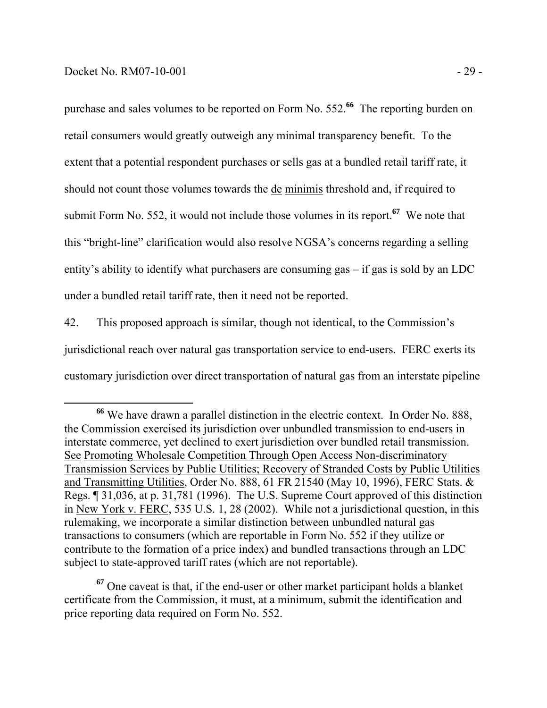purchase and sales volumes to be reported on Form No. 552.**<sup>66</sup>** The reporting burden on retail consumers would greatly outweigh any minimal transparency benefit. To the extent that a potential respondent purchases or sells gas at a bundled retail tariff rate, it should not count those volumes towards the de minimis threshold and, if required to submit Form No. 552, it would not include those volumes in its report.**<sup>67</sup>** We note that this "bright-line" clarification would also resolve NGSA's concerns regarding a selling entity's ability to identify what purchasers are consuming gas – if gas is sold by an LDC under a bundled retail tariff rate, then it need not be reported.

42. This proposed approach is similar, though not identical, to the Commission's jurisdictional reach over natural gas transportation service to end-users. FERC exerts its customary jurisdiction over direct transportation of natural gas from an interstate pipeline

**<sup>67</sup>** One caveat is that, if the end-user or other market participant holds a blanket certificate from the Commission, it must, at a minimum, submit the identification and price reporting data required on Form No. 552.

**<sup>66</sup>** We have drawn a parallel distinction in the electric context. In Order No. 888, the Commission exercised its jurisdiction over unbundled transmission to end-users in interstate commerce, yet declined to exert jurisdiction over bundled retail transmission. See Promoting Wholesale Competition Through Open Access Non-discriminatory Transmission Services by Public Utilities; Recovery of Stranded Costs by Public Utilities and Transmitting Utilities, Order No. 888, 61 FR 21540 (May 10, 1996), FERC Stats. & Regs. ¶ 31,036, at p. 31,781 (1996). The U.S. Supreme Court approved of this distinction in New York v. FERC, 535 U.S. 1, 28 (2002). While not a jurisdictional question, in this rulemaking, we incorporate a similar distinction between unbundled natural gas transactions to consumers (which are reportable in Form No. 552 if they utilize or contribute to the formation of a price index) and bundled transactions through an LDC subject to state-approved tariff rates (which are not reportable).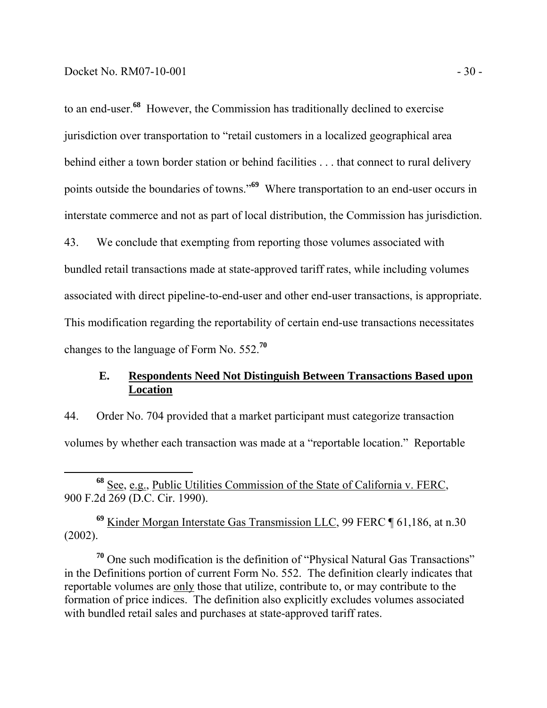to an end-user.**<sup>68</sup>** However, the Commission has traditionally declined to exercise jurisdiction over transportation to "retail customers in a localized geographical area behind either a town border station or behind facilities . . . that connect to rural delivery points outside the boundaries of towns."**<sup>69</sup>** Where transportation to an end-user occurs in interstate commerce and not as part of local distribution, the Commission has jurisdiction. 43. We conclude that exempting from reporting those volumes associated with

bundled retail transactions made at state-approved tariff rates, while including volumes associated with direct pipeline-to-end-user and other end-user transactions, is appropriate. This modification regarding the reportability of certain end-use transactions necessitates changes to the language of Form No. 552.**<sup>70</sup>**

### **E. Respondents Need Not Distinguish Between Transactions Based upon Location**

44. Order No. 704 provided that a market participant must categorize transaction volumes by whether each transaction was made at a "reportable location." Reportable

**<sup>69</sup>** Kinder Morgan Interstate Gas Transmission LLC, 99 FERC ¶ 61,186, at n.30 (2002).

**<sup>70</sup>** One such modification is the definition of "Physical Natural Gas Transactions" in the Definitions portion of current Form No. 552. The definition clearly indicates that reportable volumes are only those that utilize, contribute to, or may contribute to the formation of price indices. The definition also explicitly excludes volumes associated with bundled retail sales and purchases at state-approved tariff rates.

**<sup>68</sup>** See, e.g., Public Utilities Commission of the State of California v. FERC, 900 F.2d 269 (D.C. Cir. 1990).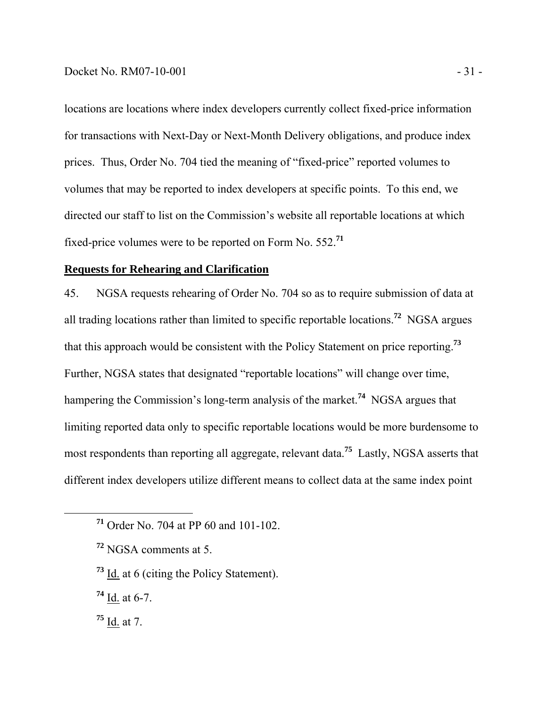#### Docket No. RM07-10-001 - 31 -

locations are locations where index developers currently collect fixed-price information for transactions with Next-Day or Next-Month Delivery obligations, and produce index prices. Thus, Order No. 704 tied the meaning of "fixed-price" reported volumes to volumes that may be reported to index developers at specific points. To this end, we directed our staff to list on the Commission's website all reportable locations at which fixed-price volumes were to be reported on Form No. 552.**<sup>71</sup>**

### **Requests for Rehearing and Clarification**

45. NGSA requests rehearing of Order No. 704 so as to require submission of data at all trading locations rather than limited to specific reportable locations.**<sup>72</sup>** NGSA argues that this approach would be consistent with the Policy Statement on price reporting.**<sup>73</sup>** Further, NGSA states that designated "reportable locations" will change over time, hampering the Commission's long-term analysis of the market.**<sup>74</sup>** NGSA argues that limiting reported data only to specific reportable locations would be more burdensome to most respondents than reporting all aggregate, relevant data.**<sup>75</sup>** Lastly, NGSA asserts that different index developers utilize different means to collect data at the same index point

- **<sup>73</sup>** Id. at 6 (citing the Policy Statement).
- **<sup>74</sup>** Id. at 6-7.
- **<sup>75</sup>** Id. at 7.

**<sup>71</sup>** Order No. 704 at PP 60 and 101-102.

**<sup>72</sup>** NGSA comments at 5.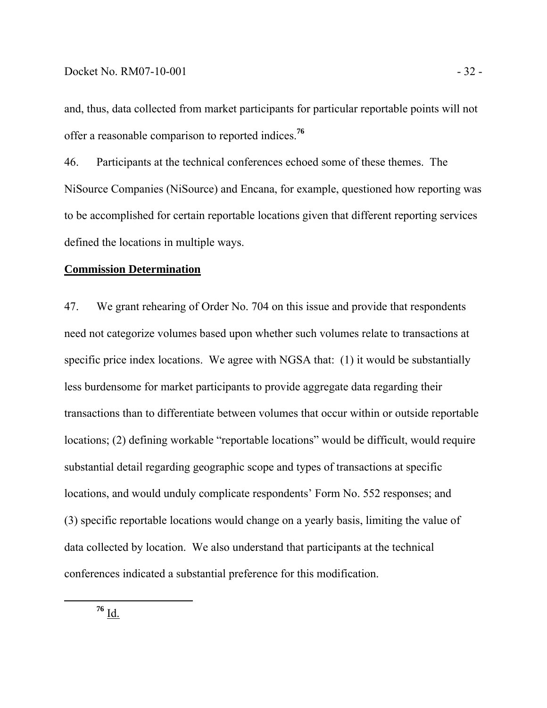and, thus, data collected from market participants for particular reportable points will not offer a reasonable comparison to reported indices.**<sup>76</sup>**

46. Participants at the technical conferences echoed some of these themes. The NiSource Companies (NiSource) and Encana, for example, questioned how reporting was to be accomplished for certain reportable locations given that different reporting services defined the locations in multiple ways.

#### **Commission Determination**

47. We grant rehearing of Order No. 704 on this issue and provide that respondents need not categorize volumes based upon whether such volumes relate to transactions at specific price index locations. We agree with NGSA that: (1) it would be substantially less burdensome for market participants to provide aggregate data regarding their transactions than to differentiate between volumes that occur within or outside reportable locations; (2) defining workable "reportable locations" would be difficult, would require substantial detail regarding geographic scope and types of transactions at specific locations, and would unduly complicate respondents' Form No. 552 responses; and (3) specific reportable locations would change on a yearly basis, limiting the value of data collected by location. We also understand that participants at the technical conferences indicated a substantial preference for this modification.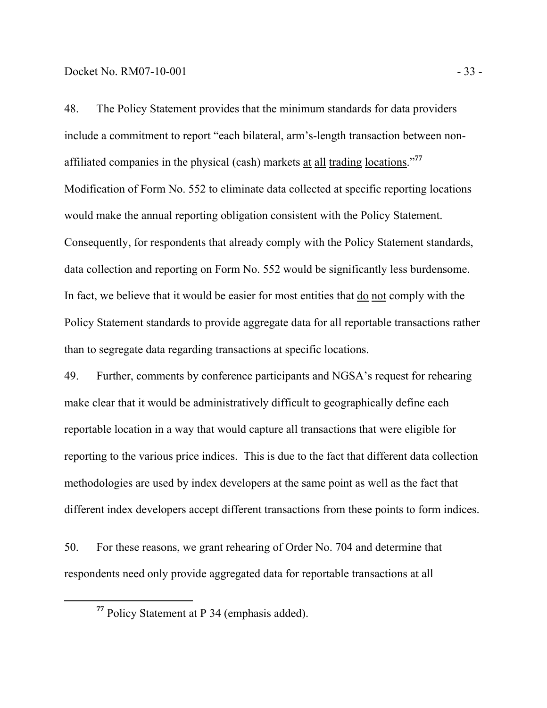48. The Policy Statement provides that the minimum standards for data providers include a commitment to report "each bilateral, arm's-length transaction between nonaffiliated companies in the physical (cash) markets at all trading locations."**<sup>77</sup>** Modification of Form No. 552 to eliminate data collected at specific reporting locations would make the annual reporting obligation consistent with the Policy Statement. Consequently, for respondents that already comply with the Policy Statement standards, data collection and reporting on Form No. 552 would be significantly less burdensome. In fact, we believe that it would be easier for most entities that do not comply with the Policy Statement standards to provide aggregate data for all reportable transactions rather than to segregate data regarding transactions at specific locations.

49. Further, comments by conference participants and NGSA's request for rehearing make clear that it would be administratively difficult to geographically define each reportable location in a way that would capture all transactions that were eligible for reporting to the various price indices. This is due to the fact that different data collection methodologies are used by index developers at the same point as well as the fact that different index developers accept different transactions from these points to form indices.

50. For these reasons, we grant rehearing of Order No. 704 and determine that respondents need only provide aggregated data for reportable transactions at all

**<sup>77</sup>** Policy Statement at P 34 (emphasis added).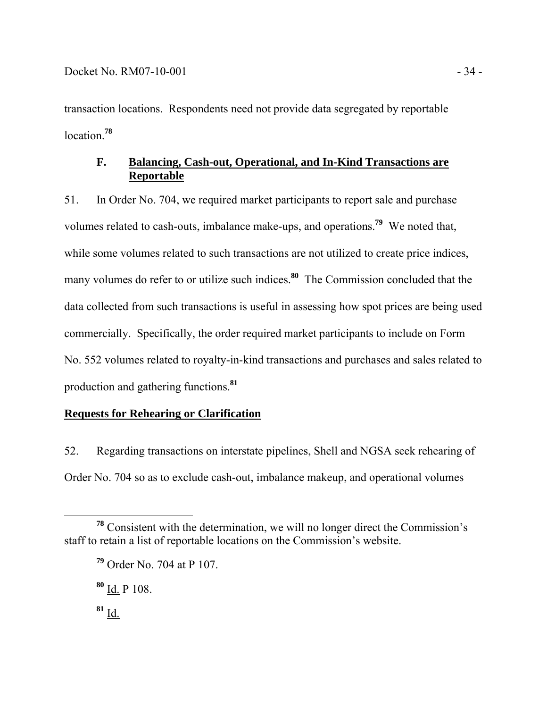transaction locations. Respondents need not provide data segregated by reportable location.**<sup>78</sup>**

# **F. Balancing, Cash-out, Operational, and In-Kind Transactions are Reportable**

51. In Order No. 704, we required market participants to report sale and purchase volumes related to cash-outs, imbalance make-ups, and operations.**<sup>79</sup>** We noted that, while some volumes related to such transactions are not utilized to create price indices, many volumes do refer to or utilize such indices.<sup>80</sup> The Commission concluded that the data collected from such transactions is useful in assessing how spot prices are being used commercially. Specifically, the order required market participants to include on Form No. 552 volumes related to royalty-in-kind transactions and purchases and sales related to production and gathering functions.**<sup>81</sup>**

# **Requests for Rehearing or Clarification**

52. Regarding transactions on interstate pipelines, Shell and NGSA seek rehearing of Order No. 704 so as to exclude cash-out, imbalance makeup, and operational volumes

**<sup>80</sup>** Id. P 108.

**<sup>78</sup>** Consistent with the determination, we will no longer direct the Commission's staff to retain a list of reportable locations on the Commission's website.

**<sup>79</sup>** Order No. 704 at P 107.

**<sup>81</sup>** Id.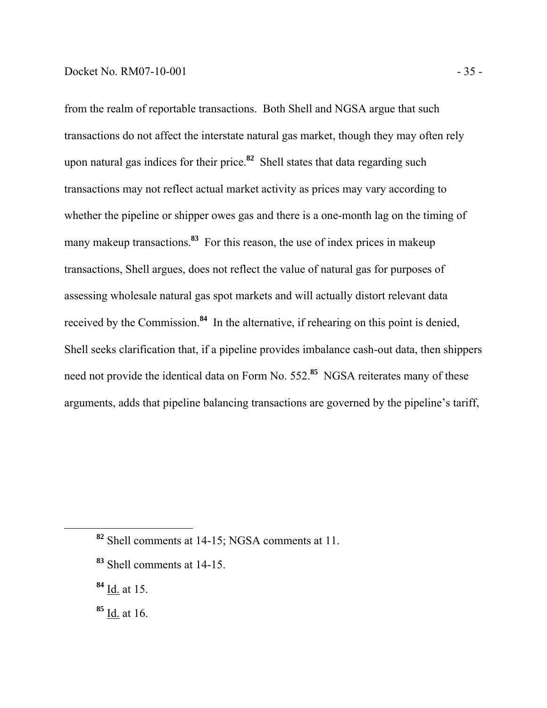from the realm of reportable transactions. Both Shell and NGSA argue that such transactions do not affect the interstate natural gas market, though they may often rely upon natural gas indices for their price.**<sup>82</sup>** Shell states that data regarding such transactions may not reflect actual market activity as prices may vary according to whether the pipeline or shipper owes gas and there is a one-month lag on the timing of many makeup transactions.<sup>83</sup> For this reason, the use of index prices in makeup transactions, Shell argues, does not reflect the value of natural gas for purposes of assessing wholesale natural gas spot markets and will actually distort relevant data received by the Commission.**<sup>84</sup>** In the alternative, if rehearing on this point is denied, Shell seeks clarification that, if a pipeline provides imbalance cash-out data, then shippers need not provide the identical data on Form No. 552.**<sup>85</sup>** NGSA reiterates many of these arguments, adds that pipeline balancing transactions are governed by the pipeline's tariff,

**<sup>82</sup>** Shell comments at 14-15; NGSA comments at 11.

- **<sup>83</sup>** Shell comments at 14-15.
- **<sup>84</sup>** Id. at 15.
- **<sup>85</sup>** Id. at 16.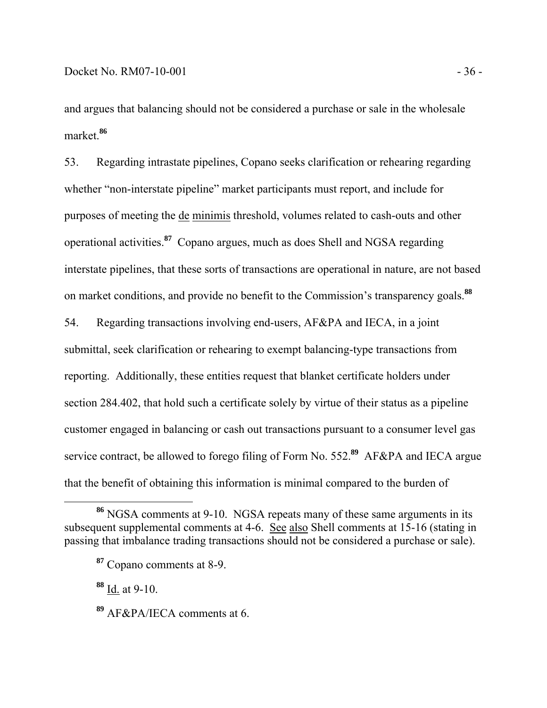and argues that balancing should not be considered a purchase or sale in the wholesale market.**<sup>86</sup>**

53. Regarding intrastate pipelines, Copano seeks clarification or rehearing regarding whether "non-interstate pipeline" market participants must report, and include for purposes of meeting the de minimis threshold, volumes related to cash-outs and other operational activities.**<sup>87</sup>** Copano argues, much as does Shell and NGSA regarding interstate pipelines, that these sorts of transactions are operational in nature, are not based on market conditions, and provide no benefit to the Commission's transparency goals.**<sup>88</sup>**

54. Regarding transactions involving end-users, AF&PA and IECA, in a joint submittal, seek clarification or rehearing to exempt balancing-type transactions from reporting. Additionally, these entities request that blanket certificate holders under section 284.402, that hold such a certificate solely by virtue of their status as a pipeline customer engaged in balancing or cash out transactions pursuant to a consumer level gas service contract, be allowed to forego filing of Form No. 552.**<sup>89</sup>** AF&PA and IECA argue that the benefit of obtaining this information is minimal compared to the burden of

**<sup>88</sup>** Id. at 9-10.

**<sup>86</sup>** NGSA comments at 9-10. NGSA repeats many of these same arguments in its subsequent supplemental comments at 4-6. See also Shell comments at 15-16 (stating in passing that imbalance trading transactions should not be considered a purchase or sale).

**<sup>87</sup>** Copano comments at 8-9.

**<sup>89</sup>** AF&PA/IECA comments at 6.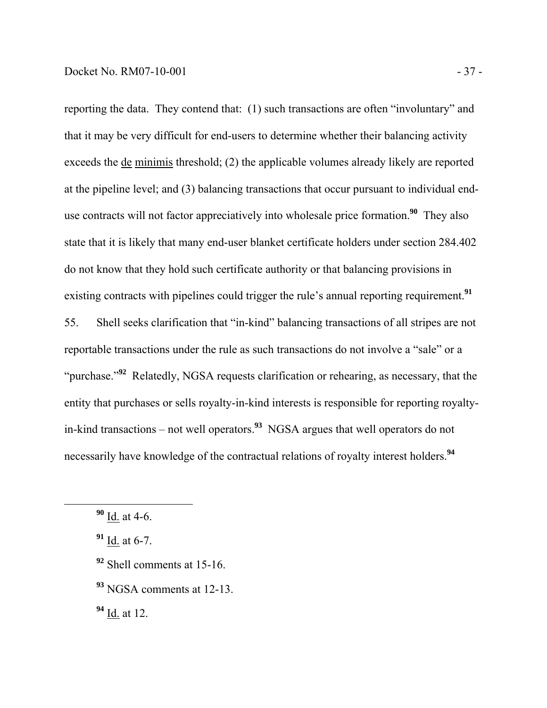reporting the data. They contend that: (1) such transactions are often "involuntary" and that it may be very difficult for end-users to determine whether their balancing activity exceeds the de minimis threshold; (2) the applicable volumes already likely are reported at the pipeline level; and (3) balancing transactions that occur pursuant to individual enduse contracts will not factor appreciatively into wholesale price formation.**<sup>90</sup>** They also state that it is likely that many end-user blanket certificate holders under section 284.402 do not know that they hold such certificate authority or that balancing provisions in existing contracts with pipelines could trigger the rule's annual reporting requirement.**<sup>91</sup>**

55. Shell seeks clarification that "in-kind" balancing transactions of all stripes are not reportable transactions under the rule as such transactions do not involve a "sale" or a "purchase."**<sup>92</sup>** Relatedly, NGSA requests clarification or rehearing, as necessary, that the entity that purchases or sells royalty-in-kind interests is responsible for reporting royaltyin-kind transactions – not well operators.**<sup>93</sup>** NGSA argues that well operators do not necessarily have knowledge of the contractual relations of royalty interest holders.**<sup>94</sup>**

- **<sup>92</sup>** Shell comments at 15-16.
- **<sup>93</sup>** NGSA comments at 12-13.

**<sup>94</sup>** Id. at 12.

**<sup>90</sup>** Id. at 4-6.

**<sup>91</sup>** Id. at 6-7.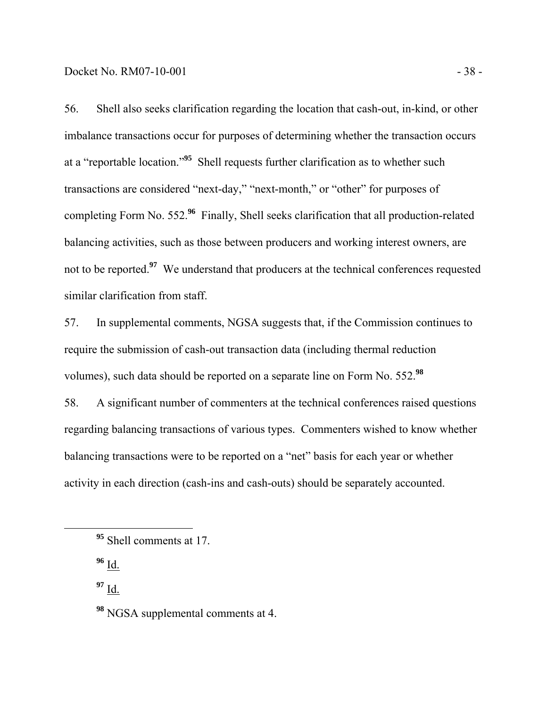56. Shell also seeks clarification regarding the location that cash-out, in-kind, or other imbalance transactions occur for purposes of determining whether the transaction occurs at a "reportable location."**<sup>95</sup>** Shell requests further clarification as to whether such transactions are considered "next-day," "next-month," or "other" for purposes of completing Form No. 552.**<sup>96</sup>** Finally, Shell seeks clarification that all production-related balancing activities, such as those between producers and working interest owners, are not to be reported.<sup>97</sup> We understand that producers at the technical conferences requested similar clarification from staff.

57. In supplemental comments, NGSA suggests that, if the Commission continues to require the submission of cash-out transaction data (including thermal reduction volumes), such data should be reported on a separate line on Form No. 552.**<sup>98</sup>**

58. A significant number of commenters at the technical conferences raised questions regarding balancing transactions of various types. Commenters wished to know whether balancing transactions were to be reported on a "net" basis for each year or whether activity in each direction (cash-ins and cash-outs) should be separately accounted.

**<sup>96</sup>** Id.

**<sup>95</sup>** Shell comments at 17.

**<sup>98</sup>** NGSA supplemental comments at 4.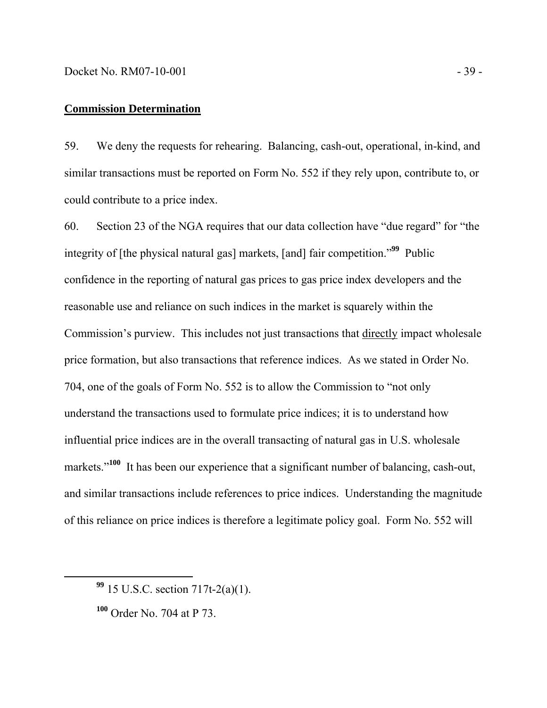#### **Commission Determination**

59. We deny the requests for rehearing. Balancing, cash-out, operational, in-kind, and similar transactions must be reported on Form No. 552 if they rely upon, contribute to, or could contribute to a price index.

60. Section 23 of the NGA requires that our data collection have "due regard" for "the integrity of [the physical natural gas] markets, [and] fair competition."**<sup>99</sup>** Public confidence in the reporting of natural gas prices to gas price index developers and the reasonable use and reliance on such indices in the market is squarely within the Commission's purview. This includes not just transactions that directly impact wholesale price formation, but also transactions that reference indices. As we stated in Order No. 704, one of the goals of Form No. 552 is to allow the Commission to "not only understand the transactions used to formulate price indices; it is to understand how influential price indices are in the overall transacting of natural gas in U.S. wholesale markets."<sup>100</sup> It has been our experience that a significant number of balancing, cash-out, and similar transactions include references to price indices. Understanding the magnitude of this reliance on price indices is therefore a legitimate policy goal. Form No. 552 will

**<sup>99</sup>** 15 U.S.C. section 717t-2(a)(1).

**<sup>100</sup>** Order No. 704 at P 73.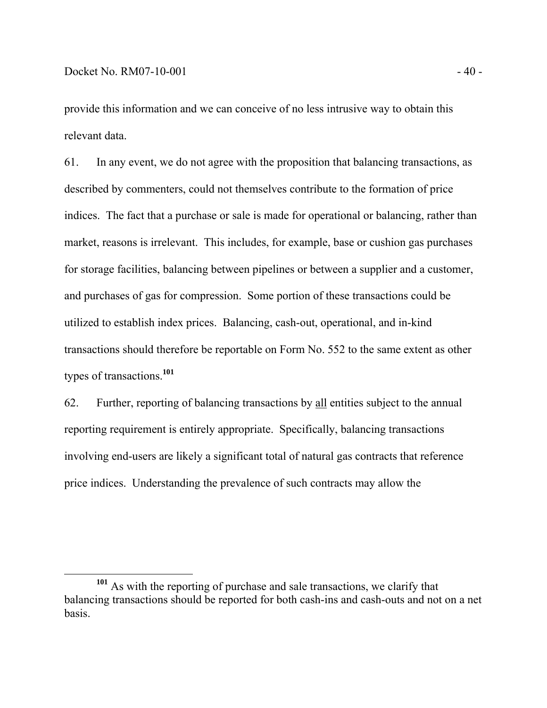provide this information and we can conceive of no less intrusive way to obtain this relevant data.

61. In any event, we do not agree with the proposition that balancing transactions, as described by commenters, could not themselves contribute to the formation of price indices. The fact that a purchase or sale is made for operational or balancing, rather than market, reasons is irrelevant. This includes, for example, base or cushion gas purchases for storage facilities, balancing between pipelines or between a supplier and a customer, and purchases of gas for compression. Some portion of these transactions could be utilized to establish index prices. Balancing, cash-out, operational, and in-kind transactions should therefore be reportable on Form No. 552 to the same extent as other types of transactions.**<sup>101</sup>**

62. Further, reporting of balancing transactions by all entities subject to the annual reporting requirement is entirely appropriate. Specifically, balancing transactions involving end-users are likely a significant total of natural gas contracts that reference price indices. Understanding the prevalence of such contracts may allow the

**<sup>101</sup>** As with the reporting of purchase and sale transactions, we clarify that balancing transactions should be reported for both cash-ins and cash-outs and not on a net basis.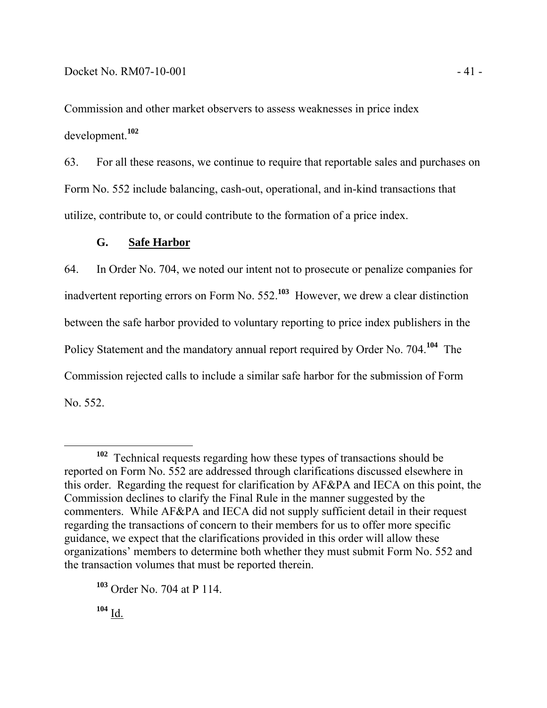Commission and other market observers to assess weaknesses in price index development.**<sup>102</sup>**

63. For all these reasons, we continue to require that reportable sales and purchases on Form No. 552 include balancing, cash-out, operational, and in-kind transactions that utilize, contribute to, or could contribute to the formation of a price index.

# **G. Safe Harbor**

64. In Order No. 704, we noted our intent not to prosecute or penalize companies for inadvertent reporting errors on Form No. 552.**<sup>103</sup>** However, we drew a clear distinction between the safe harbor provided to voluntary reporting to price index publishers in the Policy Statement and the mandatory annual report required by Order No. 704.**<sup>104</sup>** The Commission rejected calls to include a similar safe harbor for the submission of Form No. 552.

**<sup>102</sup>** Technical requests regarding how these types of transactions should be reported on Form No. 552 are addressed through clarifications discussed elsewhere in this order. Regarding the request for clarification by AF&PA and IECA on this point, the Commission declines to clarify the Final Rule in the manner suggested by the commenters. While AF&PA and IECA did not supply sufficient detail in their request regarding the transactions of concern to their members for us to offer more specific guidance, we expect that the clarifications provided in this order will allow these organizations' members to determine both whether they must submit Form No. 552 and the transaction volumes that must be reported therein.

**<sup>103</sup>** Order No. 704 at P 114.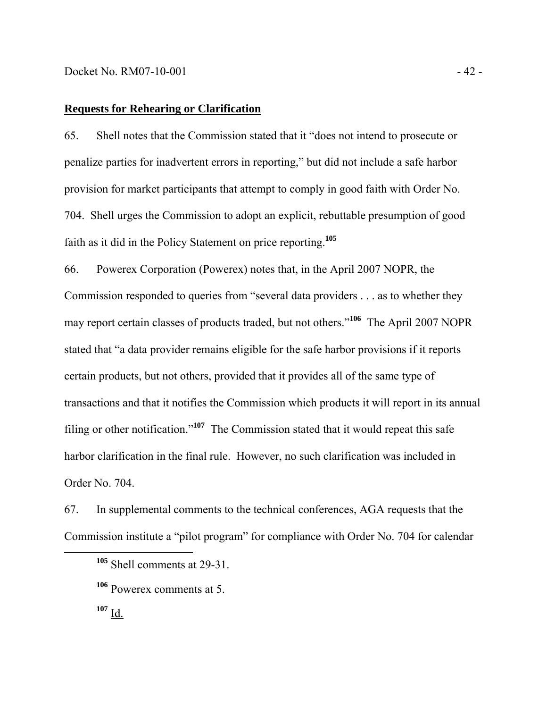#### **Requests for Rehearing or Clarification**

65. Shell notes that the Commission stated that it "does not intend to prosecute or penalize parties for inadvertent errors in reporting," but did not include a safe harbor provision for market participants that attempt to comply in good faith with Order No. 704. Shell urges the Commission to adopt an explicit, rebuttable presumption of good faith as it did in the Policy Statement on price reporting.**<sup>105</sup>**

66. Powerex Corporation (Powerex) notes that, in the April 2007 NOPR, the Commission responded to queries from "several data providers . . . as to whether they may report certain classes of products traded, but not others."**<sup>106</sup>** The April 2007 NOPR stated that "a data provider remains eligible for the safe harbor provisions if it reports certain products, but not others, provided that it provides all of the same type of transactions and that it notifies the Commission which products it will report in its annual filing or other notification."**<sup>107</sup>** The Commission stated that it would repeat this safe harbor clarification in the final rule. However, no such clarification was included in Order No. 704.

67. In supplemental comments to the technical conferences, AGA requests that the Commission institute a "pilot program" for compliance with Order No. 704 for calendar

**<sup>105</sup>** Shell comments at 29-31.

**<sup>106</sup>** Powerex comments at 5.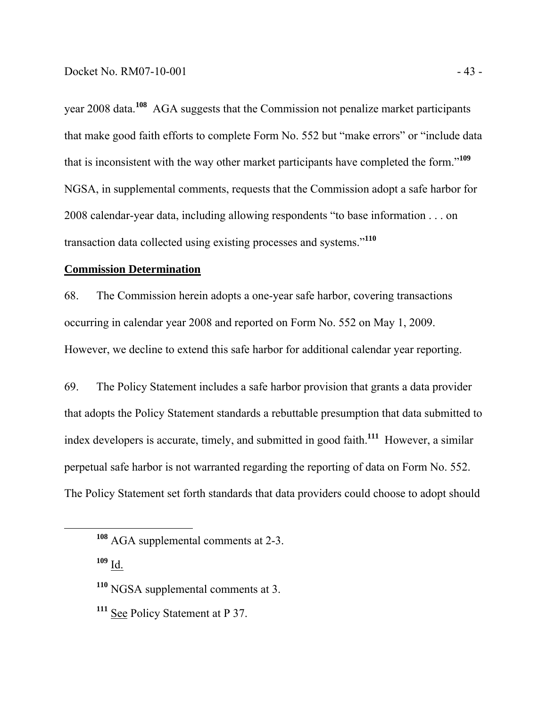year 2008 data.**<sup>108</sup>** AGA suggests that the Commission not penalize market participants that make good faith efforts to complete Form No. 552 but "make errors" or "include data that is inconsistent with the way other market participants have completed the form."**<sup>109</sup>** NGSA, in supplemental comments, requests that the Commission adopt a safe harbor for 2008 calendar-year data, including allowing respondents "to base information . . . on transaction data collected using existing processes and systems."**<sup>110</sup>**

### **Commission Determination**

68. The Commission herein adopts a one-year safe harbor, covering transactions occurring in calendar year 2008 and reported on Form No. 552 on May 1, 2009. However, we decline to extend this safe harbor for additional calendar year reporting.

69. The Policy Statement includes a safe harbor provision that grants a data provider that adopts the Policy Statement standards a rebuttable presumption that data submitted to index developers is accurate, timely, and submitted in good faith.**<sup>111</sup>** However, a similar perpetual safe harbor is not warranted regarding the reporting of data on Form No. 552. The Policy Statement set forth standards that data providers could choose to adopt should

**<sup>108</sup>** AGA supplemental comments at 2-3.

**<sup>110</sup>** NGSA supplemental comments at 3.

**<sup>111</sup>** See Policy Statement at P 37.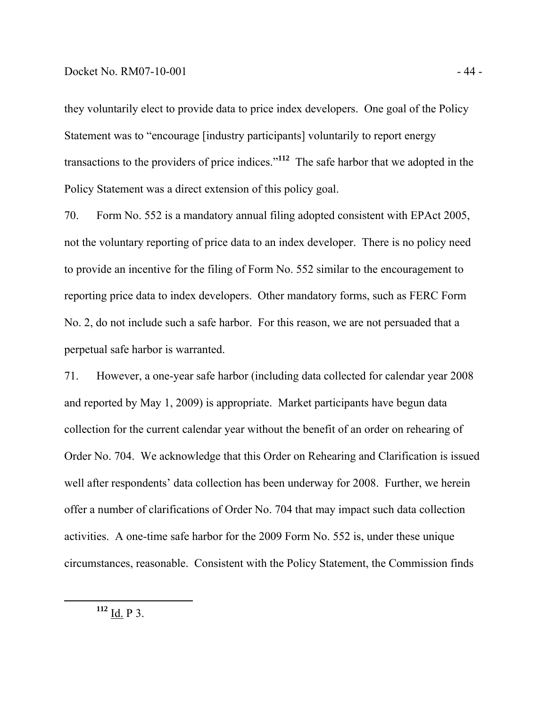#### Docket No. RM07-10-001 - 44

they voluntarily elect to provide data to price index developers. One goal of the Policy Statement was to "encourage [industry participants] voluntarily to report energy transactions to the providers of price indices."**<sup>112</sup>** The safe harbor that we adopted in the Policy Statement was a direct extension of this policy goal.

70. Form No. 552 is a mandatory annual filing adopted consistent with EPAct 2005, not the voluntary reporting of price data to an index developer. There is no policy need to provide an incentive for the filing of Form No. 552 similar to the encouragement to reporting price data to index developers. Other mandatory forms, such as FERC Form No. 2, do not include such a safe harbor. For this reason, we are not persuaded that a perpetual safe harbor is warranted.

71. However, a one-year safe harbor (including data collected for calendar year 2008 and reported by May 1, 2009) is appropriate. Market participants have begun data collection for the current calendar year without the benefit of an order on rehearing of Order No. 704. We acknowledge that this Order on Rehearing and Clarification is issued well after respondents' data collection has been underway for 2008. Further, we herein offer a number of clarifications of Order No. 704 that may impact such data collection activities. A one-time safe harbor for the 2009 Form No. 552 is, under these unique circumstances, reasonable. Consistent with the Policy Statement, the Commission finds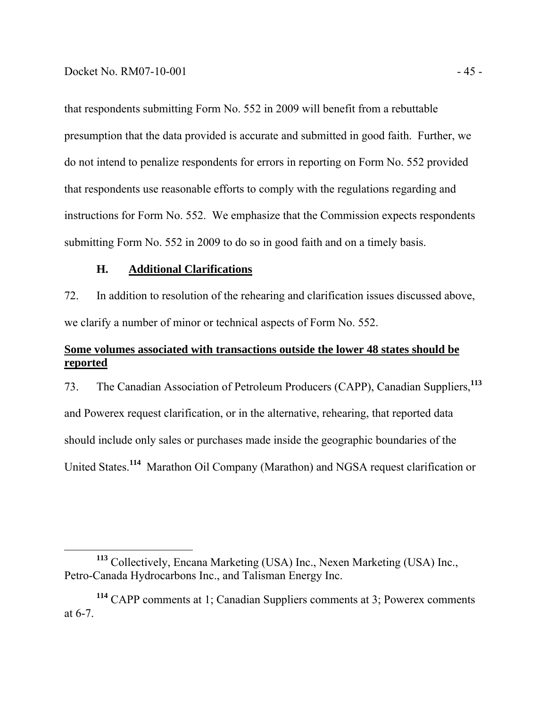that respondents submitting Form No. 552 in 2009 will benefit from a rebuttable presumption that the data provided is accurate and submitted in good faith. Further, we do not intend to penalize respondents for errors in reporting on Form No. 552 provided that respondents use reasonable efforts to comply with the regulations regarding and instructions for Form No. 552. We emphasize that the Commission expects respondents submitting Form No. 552 in 2009 to do so in good faith and on a timely basis.

#### **H. Additional Clarifications**

72. In addition to resolution of the rehearing and clarification issues discussed above, we clarify a number of minor or technical aspects of Form No. 552.

# **Some volumes associated with transactions outside the lower 48 states should be reported**

73. The Canadian Association of Petroleum Producers (CAPP), Canadian Suppliers,**<sup>113</sup>** and Powerex request clarification, or in the alternative, rehearing, that reported data should include only sales or purchases made inside the geographic boundaries of the United States.**<sup>114</sup>** Marathon Oil Company (Marathon) and NGSA request clarification or

**<sup>113</sup>** Collectively, Encana Marketing (USA) Inc., Nexen Marketing (USA) Inc., Petro-Canada Hydrocarbons Inc., and Talisman Energy Inc.

**<sup>114</sup>** CAPP comments at 1; Canadian Suppliers comments at 3; Powerex comments at 6-7.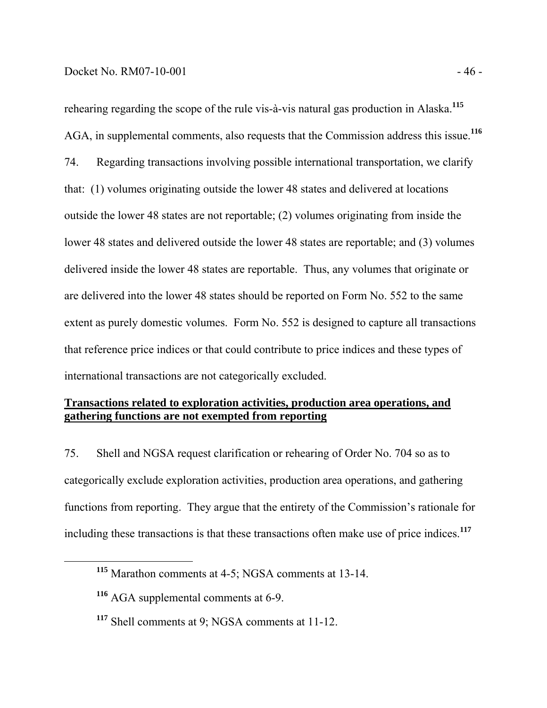#### $Dacket No. RM07-10-001$   $-46$

rehearing regarding the scope of the rule vis-à-vis natural gas production in Alaska.**<sup>115</sup>** AGA, in supplemental comments, also requests that the Commission address this issue.**<sup>116</sup>** 74. Regarding transactions involving possible international transportation, we clarify that: (1) volumes originating outside the lower 48 states and delivered at locations outside the lower 48 states are not reportable; (2) volumes originating from inside the lower 48 states and delivered outside the lower 48 states are reportable; and (3) volumes delivered inside the lower 48 states are reportable. Thus, any volumes that originate or are delivered into the lower 48 states should be reported on Form No. 552 to the same extent as purely domestic volumes. Form No. 552 is designed to capture all transactions that reference price indices or that could contribute to price indices and these types of international transactions are not categorically excluded.

# **Transactions related to exploration activities, production area operations, and gathering functions are not exempted from reporting**

75. Shell and NGSA request clarification or rehearing of Order No. 704 so as to categorically exclude exploration activities, production area operations, and gathering functions from reporting. They argue that the entirety of the Commission's rationale for including these transactions is that these transactions often make use of price indices.**<sup>117</sup>**

**<sup>115</sup>** Marathon comments at 4-5; NGSA comments at 13-14.

**<sup>116</sup>** AGA supplemental comments at 6-9.

**<sup>117</sup>** Shell comments at 9; NGSA comments at 11-12.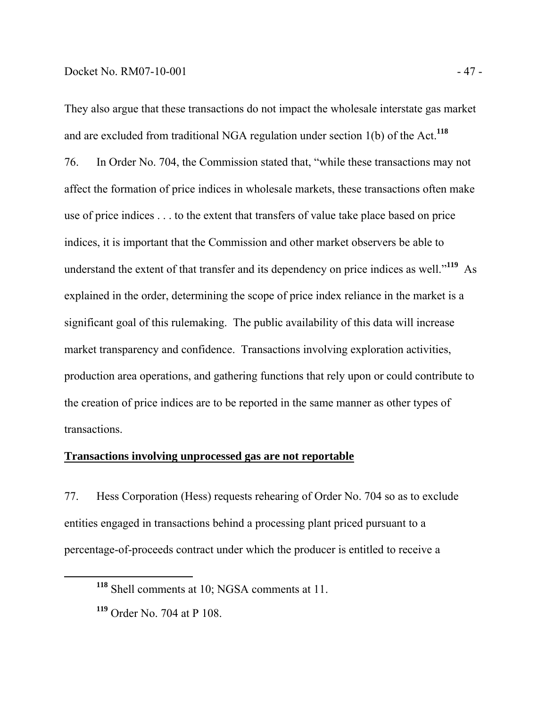They also argue that these transactions do not impact the wholesale interstate gas market and are excluded from traditional NGA regulation under section 1(b) of the Act.**<sup>118</sup>** 76. In Order No. 704, the Commission stated that, "while these transactions may not affect the formation of price indices in wholesale markets, these transactions often make use of price indices . . . to the extent that transfers of value take place based on price indices, it is important that the Commission and other market observers be able to understand the extent of that transfer and its dependency on price indices as well."**<sup>119</sup>** As explained in the order, determining the scope of price index reliance in the market is a significant goal of this rulemaking. The public availability of this data will increase market transparency and confidence. Transactions involving exploration activities, production area operations, and gathering functions that rely upon or could contribute to the creation of price indices are to be reported in the same manner as other types of transactions.

## **Transactions involving unprocessed gas are not reportable**

77. Hess Corporation (Hess) requests rehearing of Order No. 704 so as to exclude entities engaged in transactions behind a processing plant priced pursuant to a percentage-of-proceeds contract under which the producer is entitled to receive a

**<sup>118</sup>** Shell comments at 10; NGSA comments at 11.

**<sup>119</sup>** Order No. 704 at P 108.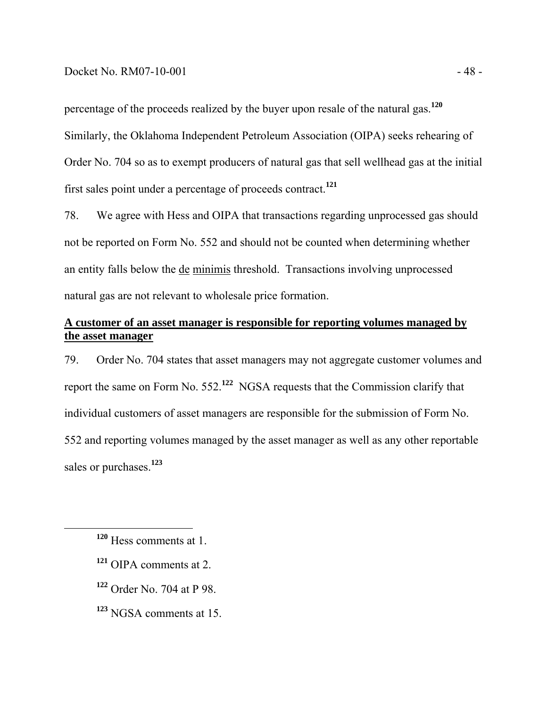#### Docket No. RM07-10-001 - 48 -

percentage of the proceeds realized by the buyer upon resale of the natural gas.**<sup>120</sup>** Similarly, the Oklahoma Independent Petroleum Association (OIPA) seeks rehearing of Order No. 704 so as to exempt producers of natural gas that sell wellhead gas at the initial first sales point under a percentage of proceeds contract.**<sup>121</sup>**

78. We agree with Hess and OIPA that transactions regarding unprocessed gas should not be reported on Form No. 552 and should not be counted when determining whether an entity falls below the de minimis threshold. Transactions involving unprocessed natural gas are not relevant to wholesale price formation.

# **A customer of an asset manager is responsible for reporting volumes managed by the asset manager**

79. Order No. 704 states that asset managers may not aggregate customer volumes and report the same on Form No. 552.**<sup>122</sup>** NGSA requests that the Commission clarify that individual customers of asset managers are responsible for the submission of Form No. 552 and reporting volumes managed by the asset manager as well as any other reportable sales or purchases.**<sup>123</sup>**

- **<sup>121</sup>** OIPA comments at 2.
- **<sup>122</sup>** Order No. 704 at P 98.
- **<sup>123</sup>** NGSA comments at 15.

**<sup>120</sup>** Hess comments at 1.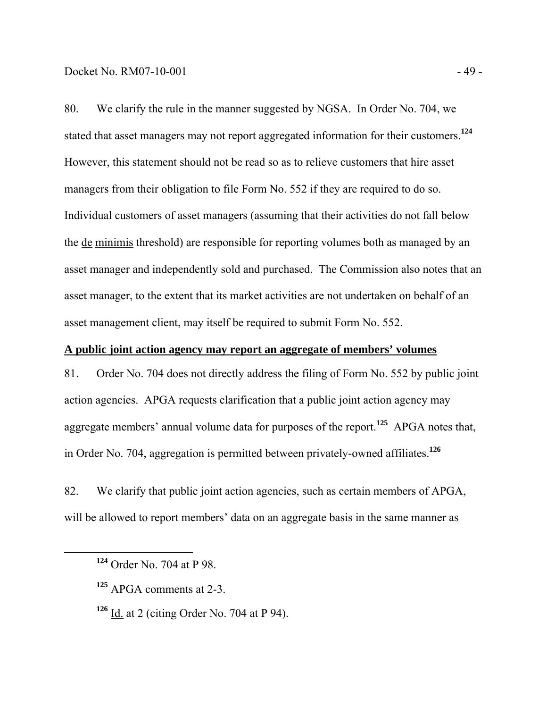80. We clarify the rule in the manner suggested by NGSA. In Order No. 704, we stated that asset managers may not report aggregated information for their customers.**<sup>124</sup>** However, this statement should not be read so as to relieve customers that hire asset managers from their obligation to file Form No. 552 if they are required to do so. Individual customers of asset managers (assuming that their activities do not fall below the de minimis threshold) are responsible for reporting volumes both as managed by an asset manager and independently sold and purchased. The Commission also notes that an asset manager, to the extent that its market activities are not undertaken on behalf of an asset management client, may itself be required to submit Form No. 552.

## **A public joint action agency may report an aggregate of members' volumes**

81. Order No. 704 does not directly address the filing of Form No. 552 by public joint action agencies. APGA requests clarification that a public joint action agency may aggregate members' annual volume data for purposes of the report.**<sup>125</sup>** APGA notes that, in Order No. 704, aggregation is permitted between privately-owned affiliates.**<sup>126</sup>**

82. We clarify that public joint action agencies, such as certain members of APGA, will be allowed to report members' data on an aggregate basis in the same manner as

**<sup>126</sup>** Id. at 2 (citing Order No. 704 at P 94).

**<sup>124</sup>** Order No. 704 at P 98.

**<sup>125</sup>** APGA comments at 2-3.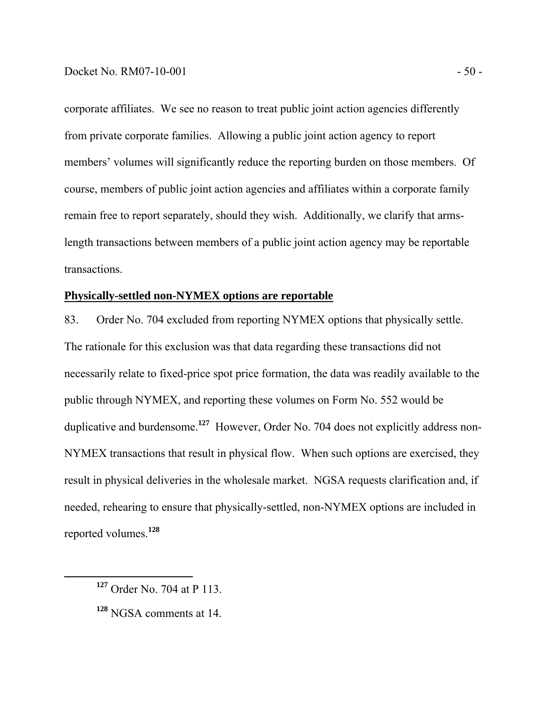corporate affiliates. We see no reason to treat public joint action agencies differently from private corporate families. Allowing a public joint action agency to report members' volumes will significantly reduce the reporting burden on those members. Of course, members of public joint action agencies and affiliates within a corporate family remain free to report separately, should they wish. Additionally, we clarify that armslength transactions between members of a public joint action agency may be reportable transactions.

#### **Physically-settled non-NYMEX options are reportable**

83. Order No. 704 excluded from reporting NYMEX options that physically settle. The rationale for this exclusion was that data regarding these transactions did not necessarily relate to fixed-price spot price formation, the data was readily available to the public through NYMEX, and reporting these volumes on Form No. 552 would be duplicative and burdensome.**<sup>127</sup>** However, Order No. 704 does not explicitly address non-NYMEX transactions that result in physical flow. When such options are exercised, they result in physical deliveries in the wholesale market. NGSA requests clarification and, if needed, rehearing to ensure that physically-settled, non-NYMEX options are included in reported volumes.**<sup>128</sup>**

**<sup>127</sup>** Order No. 704 at P 113.

**<sup>128</sup>** NGSA comments at 14.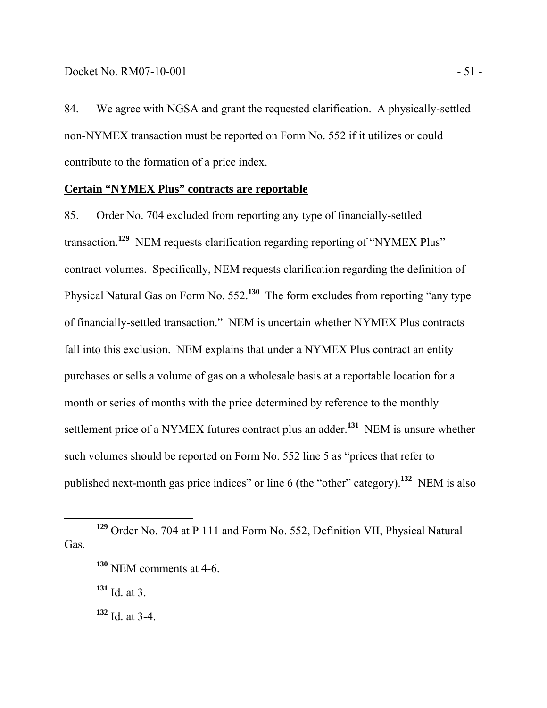84. We agree with NGSA and grant the requested clarification. A physically-settled non-NYMEX transaction must be reported on Form No. 552 if it utilizes or could contribute to the formation of a price index.

## **Certain "NYMEX Plus" contracts are reportable**

85. Order No. 704 excluded from reporting any type of financially-settled transaction.**<sup>129</sup>** NEM requests clarification regarding reporting of "NYMEX Plus" contract volumes. Specifically, NEM requests clarification regarding the definition of Physical Natural Gas on Form No. 552.**<sup>130</sup>** The form excludes from reporting "any type of financially-settled transaction." NEM is uncertain whether NYMEX Plus contracts fall into this exclusion. NEM explains that under a NYMEX Plus contract an entity purchases or sells a volume of gas on a wholesale basis at a reportable location for a month or series of months with the price determined by reference to the monthly settlement price of a NYMEX futures contract plus an adder.**<sup>131</sup>** NEM is unsure whether such volumes should be reported on Form No. 552 line 5 as "prices that refer to published next-month gas price indices" or line 6 (the "other" category).**<sup>132</sup>** NEM is also

**<sup>129</sup>** Order No. 704 at P 111 and Form No. 552, Definition VII, Physical Natural Gas.

**<sup>130</sup>** NEM comments at 4-6.

 $131$  <u>Id.</u> at 3.

**<sup>132</sup>** Id. at 3-4.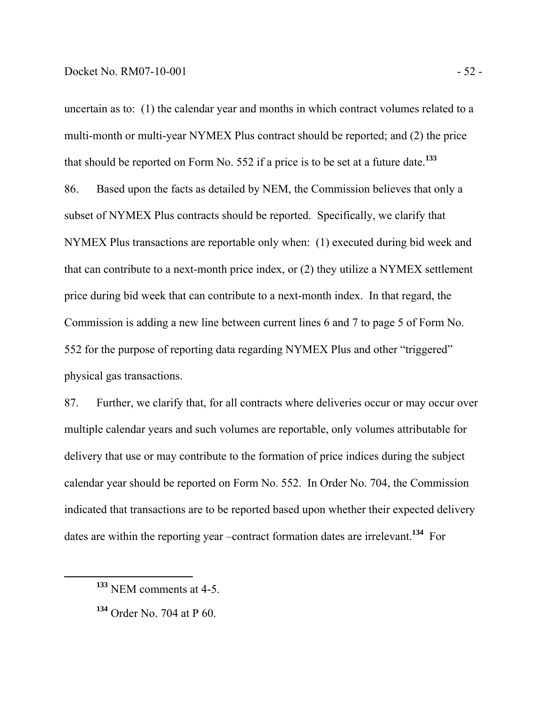uncertain as to: (1) the calendar year and months in which contract volumes related to a multi-month or multi-year NYMEX Plus contract should be reported; and (2) the price that should be reported on Form No. 552 if a price is to be set at a future date.**<sup>133</sup>** 86. Based upon the facts as detailed by NEM, the Commission believes that only a subset of NYMEX Plus contracts should be reported. Specifically, we clarify that NYMEX Plus transactions are reportable only when: (1) executed during bid week and that can contribute to a next-month price index, or (2) they utilize a NYMEX settlement price during bid week that can contribute to a next-month index. In that regard, the Commission is adding a new line between current lines 6 and 7 to page 5 of Form No. 552 for the purpose of reporting data regarding NYMEX Plus and other "triggered" physical gas transactions.

87. Further, we clarify that, for all contracts where deliveries occur or may occur over multiple calendar years and such volumes are reportable, only volumes attributable for delivery that use or may contribute to the formation of price indices during the subject calendar year should be reported on Form No. 552. In Order No. 704, the Commission indicated that transactions are to be reported based upon whether their expected delivery dates are within the reporting year –contract formation dates are irrelevant.**<sup>134</sup>** For

**<sup>133</sup>** NEM comments at 4-5.

**<sup>134</sup>** Order No. 704 at P 60.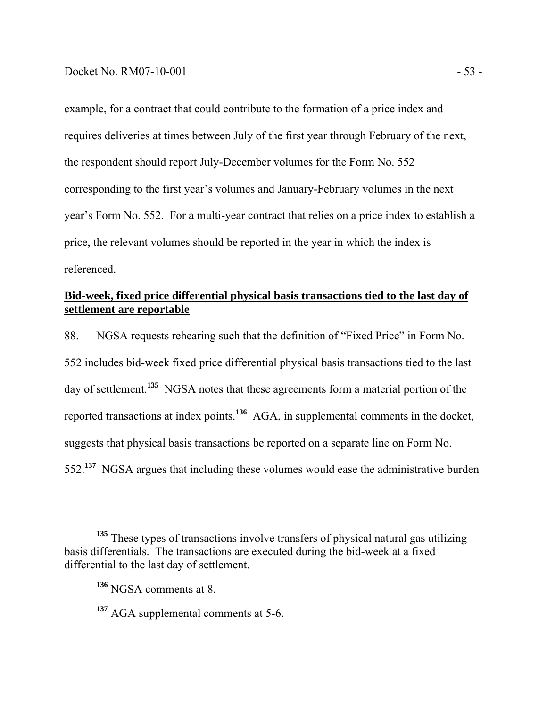example, for a contract that could contribute to the formation of a price index and requires deliveries at times between July of the first year through February of the next, the respondent should report July-December volumes for the Form No. 552 corresponding to the first year's volumes and January-February volumes in the next year's Form No. 552. For a multi-year contract that relies on a price index to establish a price, the relevant volumes should be reported in the year in which the index is referenced.

# **Bid-week, fixed price differential physical basis transactions tied to the last day of settlement are reportable**

88. NGSA requests rehearing such that the definition of "Fixed Price" in Form No. 552 includes bid-week fixed price differential physical basis transactions tied to the last day of settlement.**<sup>135</sup>** NGSA notes that these agreements form a material portion of the reported transactions at index points.**<sup>136</sup>** AGA, in supplemental comments in the docket, suggests that physical basis transactions be reported on a separate line on Form No. 552.**<sup>137</sup>** NGSA argues that including these volumes would ease the administrative burden

<sup>&</sup>lt;sup>135</sup> These types of transactions involve transfers of physical natural gas utilizing basis differentials. The transactions are executed during the bid-week at a fixed differential to the last day of settlement.

**<sup>136</sup>** NGSA comments at 8.

**<sup>137</sup>** AGA supplemental comments at 5-6.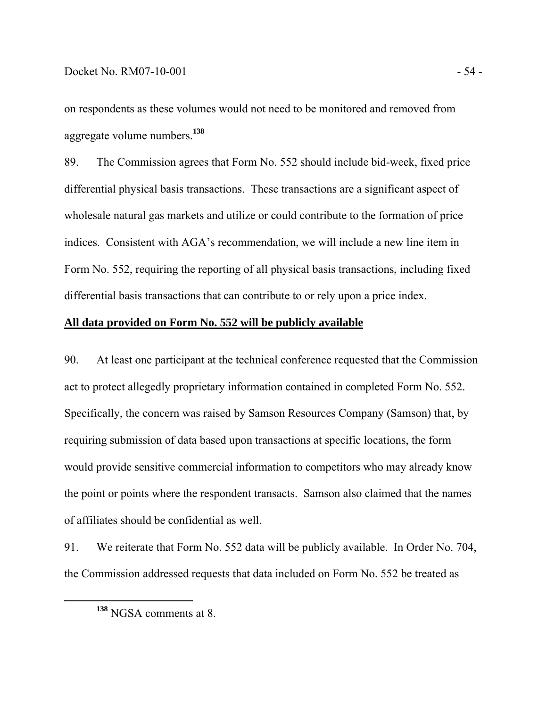on respondents as these volumes would not need to be monitored and removed from aggregate volume numbers.**<sup>138</sup>**

89. The Commission agrees that Form No. 552 should include bid-week, fixed price differential physical basis transactions. These transactions are a significant aspect of wholesale natural gas markets and utilize or could contribute to the formation of price indices. Consistent with AGA's recommendation, we will include a new line item in Form No. 552, requiring the reporting of all physical basis transactions, including fixed differential basis transactions that can contribute to or rely upon a price index.

## **All data provided on Form No. 552 will be publicly available**

90. At least one participant at the technical conference requested that the Commission act to protect allegedly proprietary information contained in completed Form No. 552. Specifically, the concern was raised by Samson Resources Company (Samson) that, by requiring submission of data based upon transactions at specific locations, the form would provide sensitive commercial information to competitors who may already know the point or points where the respondent transacts. Samson also claimed that the names of affiliates should be confidential as well.

91. We reiterate that Form No. 552 data will be publicly available. In Order No. 704, the Commission addressed requests that data included on Form No. 552 be treated as

**<sup>138</sup>** NGSA comments at 8.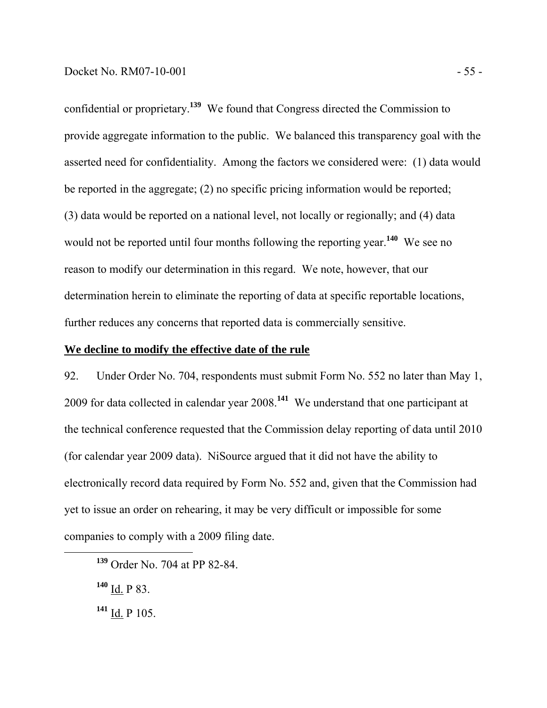confidential or proprietary.**<sup>139</sup>** We found that Congress directed the Commission to provide aggregate information to the public. We balanced this transparency goal with the asserted need for confidentiality. Among the factors we considered were: (1) data would be reported in the aggregate; (2) no specific pricing information would be reported; (3) data would be reported on a national level, not locally or regionally; and (4) data would not be reported until four months following the reporting year.**<sup>140</sup>** We see no reason to modify our determination in this regard. We note, however, that our determination herein to eliminate the reporting of data at specific reportable locations, further reduces any concerns that reported data is commercially sensitive.

## **We decline to modify the effective date of the rule**

92. Under Order No. 704, respondents must submit Form No. 552 no later than May 1, 2009 for data collected in calendar year 2008.**<sup>141</sup>** We understand that one participant at the technical conference requested that the Commission delay reporting of data until 2010 (for calendar year 2009 data). NiSource argued that it did not have the ability to electronically record data required by Form No. 552 and, given that the Commission had yet to issue an order on rehearing, it may be very difficult or impossible for some companies to comply with a 2009 filing date.

- **<sup>140</sup>** Id. P 83.
- **<sup>141</sup>** Id. P 105.

**<sup>139</sup>** Order No. 704 at PP 82-84.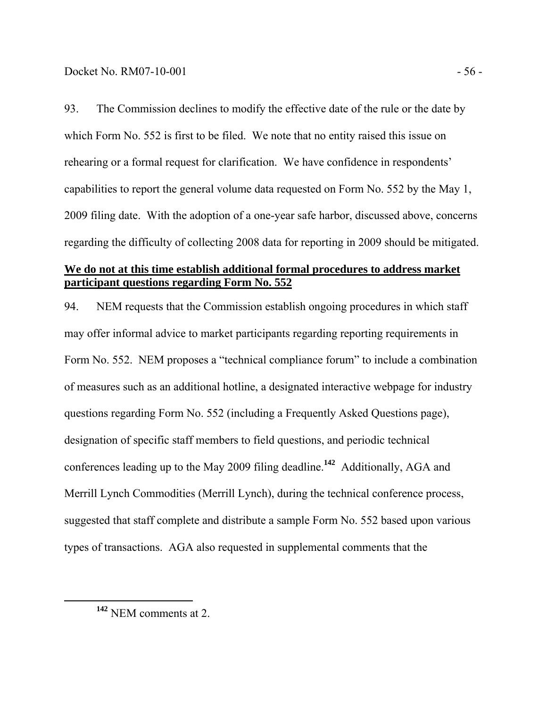93. The Commission declines to modify the effective date of the rule or the date by which Form No. 552 is first to be filed. We note that no entity raised this issue on rehearing or a formal request for clarification. We have confidence in respondents' capabilities to report the general volume data requested on Form No. 552 by the May 1, 2009 filing date. With the adoption of a one-year safe harbor, discussed above, concerns regarding the difficulty of collecting 2008 data for reporting in 2009 should be mitigated.

# **We do not at this time establish additional formal procedures to address market participant questions regarding Form No. 552**

94. NEM requests that the Commission establish ongoing procedures in which staff may offer informal advice to market participants regarding reporting requirements in Form No. 552. NEM proposes a "technical compliance forum" to include a combination of measures such as an additional hotline, a designated interactive webpage for industry questions regarding Form No. 552 (including a Frequently Asked Questions page), designation of specific staff members to field questions, and periodic technical conferences leading up to the May 2009 filing deadline.**<sup>142</sup>** Additionally, AGA and Merrill Lynch Commodities (Merrill Lynch), during the technical conference process, suggested that staff complete and distribute a sample Form No. 552 based upon various types of transactions. AGA also requested in supplemental comments that the

**<sup>142</sup>** NEM comments at 2.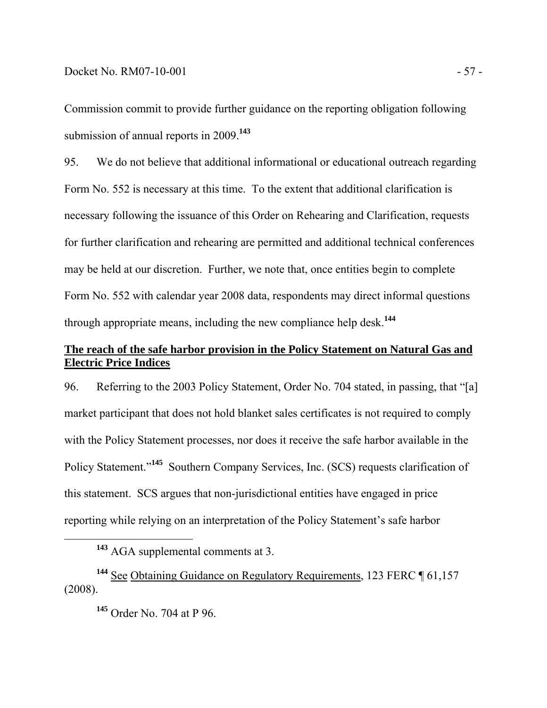Commission commit to provide further guidance on the reporting obligation following submission of annual reports in 2009.**<sup>143</sup>**

95. We do not believe that additional informational or educational outreach regarding Form No. 552 is necessary at this time. To the extent that additional clarification is necessary following the issuance of this Order on Rehearing and Clarification, requests for further clarification and rehearing are permitted and additional technical conferences may be held at our discretion. Further, we note that, once entities begin to complete Form No. 552 with calendar year 2008 data, respondents may direct informal questions through appropriate means, including the new compliance help desk.**<sup>144</sup>**

# **The reach of the safe harbor provision in the Policy Statement on Natural Gas and Electric Price Indices**

96. Referring to the 2003 Policy Statement, Order No. 704 stated, in passing, that "[a] market participant that does not hold blanket sales certificates is not required to comply with the Policy Statement processes, nor does it receive the safe harbor available in the Policy Statement."**<sup>145</sup>** Southern Company Services, Inc. (SCS) requests clarification of this statement. SCS argues that non-jurisdictional entities have engaged in price reporting while relying on an interpretation of the Policy Statement's safe harbor

**<sup>143</sup>** AGA supplemental comments at 3.

**<sup>144</sup>** See Obtaining Guidance on Regulatory Requirements, 123 FERC ¶ 61,157 (2008).

**<sup>145</sup>** Order No. 704 at P 96.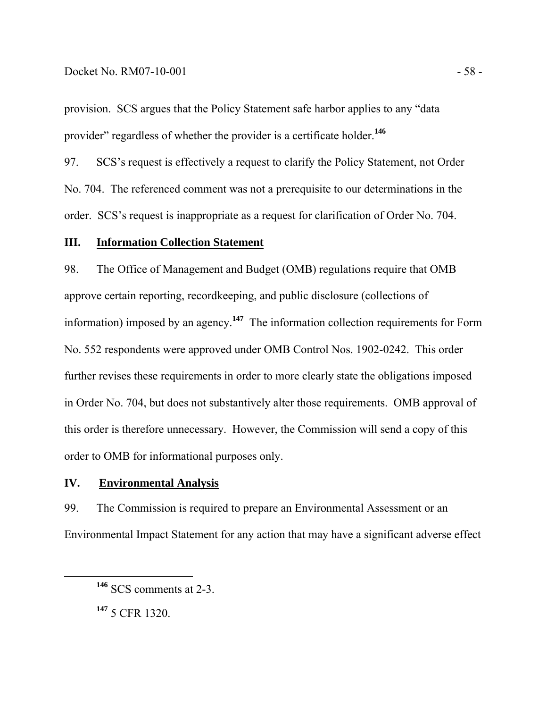## Docket No. RM07-10-001 - 58 -

provision. SCS argues that the Policy Statement safe harbor applies to any "data provider" regardless of whether the provider is a certificate holder.**<sup>146</sup>**

97. SCS's request is effectively a request to clarify the Policy Statement, not Order No. 704. The referenced comment was not a prerequisite to our determinations in the order. SCS's request is inappropriate as a request for clarification of Order No. 704.

## **III. Information Collection Statement**

98. The Office of Management and Budget (OMB) regulations require that OMB approve certain reporting, recordkeeping, and public disclosure (collections of information) imposed by an agency.**<sup>147</sup>** The information collection requirements for Form No. 552 respondents were approved under OMB Control Nos. 1902-0242. This order further revises these requirements in order to more clearly state the obligations imposed in Order No. 704, but does not substantively alter those requirements. OMB approval of this order is therefore unnecessary. However, the Commission will send a copy of this order to OMB for informational purposes only.

## **IV. Environmental Analysis**

99. The Commission is required to prepare an Environmental Assessment or an Environmental Impact Statement for any action that may have a significant adverse effect

**<sup>147</sup>** 5 CFR 1320.

**<sup>146</sup>** SCS comments at 2-3.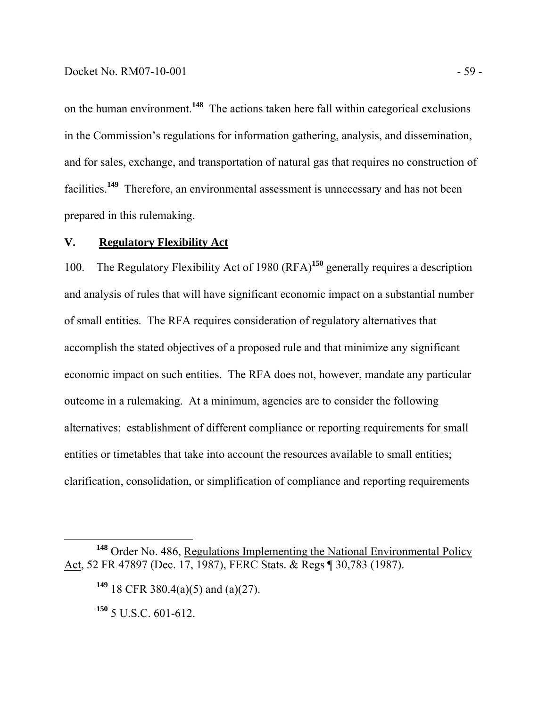on the human environment.**<sup>148</sup>** The actions taken here fall within categorical exclusions in the Commission's regulations for information gathering, analysis, and dissemination, and for sales, exchange, and transportation of natural gas that requires no construction of facilities.**<sup>149</sup>** Therefore, an environmental assessment is unnecessary and has not been prepared in this rulemaking.

## **V. Regulatory Flexibility Act**

100. The Regulatory Flexibility Act of 1980 (RFA)**<sup>150</sup>** generally requires a description and analysis of rules that will have significant economic impact on a substantial number of small entities. The RFA requires consideration of regulatory alternatives that accomplish the stated objectives of a proposed rule and that minimize any significant economic impact on such entities. The RFA does not, however, mandate any particular outcome in a rulemaking. At a minimum, agencies are to consider the following alternatives: establishment of different compliance or reporting requirements for small entities or timetables that take into account the resources available to small entities; clarification, consolidation, or simplification of compliance and reporting requirements

**<sup>150</sup>** 5 U.S.C. 601-612.

**<sup>148</sup>** Order No. 486, Regulations Implementing the National Environmental Policy Act, 52 FR 47897 (Dec. 17, 1987), FERC Stats. & Regs ¶ 30,783 (1987).

**<sup>149</sup>** 18 CFR 380.4(a)(5) and (a)(27).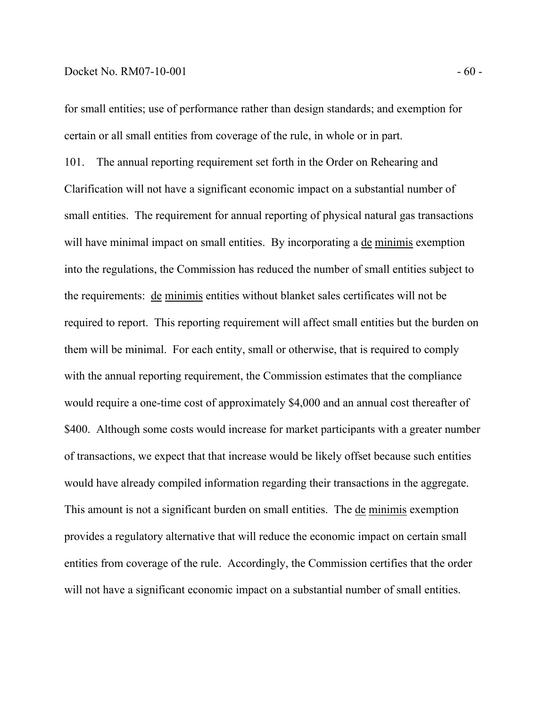for small entities; use of performance rather than design standards; and exemption for certain or all small entities from coverage of the rule, in whole or in part.

101. The annual reporting requirement set forth in the Order on Rehearing and Clarification will not have a significant economic impact on a substantial number of small entities. The requirement for annual reporting of physical natural gas transactions will have minimal impact on small entities. By incorporating a de minimis exemption into the regulations, the Commission has reduced the number of small entities subject to the requirements: de minimis entities without blanket sales certificates will not be required to report. This reporting requirement will affect small entities but the burden on them will be minimal. For each entity, small or otherwise, that is required to comply with the annual reporting requirement, the Commission estimates that the compliance would require a one-time cost of approximately \$4,000 and an annual cost thereafter of \$400. Although some costs would increase for market participants with a greater number of transactions, we expect that that increase would be likely offset because such entities would have already compiled information regarding their transactions in the aggregate. This amount is not a significant burden on small entities. The <u>de minimis</u> exemption provides a regulatory alternative that will reduce the economic impact on certain small entities from coverage of the rule. Accordingly, the Commission certifies that the order will not have a significant economic impact on a substantial number of small entities.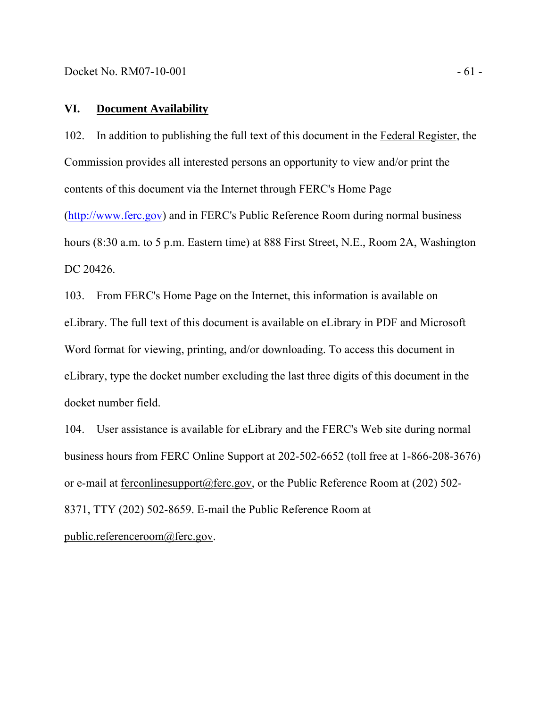## **VI. Document Availability**

102. In addition to publishing the full text of this document in the Federal Register, the Commission provides all interested persons an opportunity to view and/or print the contents of this document via the Internet through FERC's Home Page (http://www.ferc.gov) and in FERC's Public Reference Room during normal business

hours (8:30 a.m. to 5 p.m. Eastern time) at 888 First Street, N.E., Room 2A, Washington DC 20426.

103. From FERC's Home Page on the Internet, this information is available on eLibrary. The full text of this document is available on eLibrary in PDF and Microsoft Word format for viewing, printing, and/or downloading. To access this document in eLibrary, type the docket number excluding the last three digits of this document in the docket number field.

104. User assistance is available for eLibrary and the FERC's Web site during normal business hours from FERC Online Support at 202-502-6652 (toll free at 1-866-208-3676) or e-mail at ferconlinesupport@ferc.gov, or the Public Reference Room at (202) 502- 8371, TTY (202) 502-8659. E-mail the Public Reference Room at public.referenceroom@ferc.gov.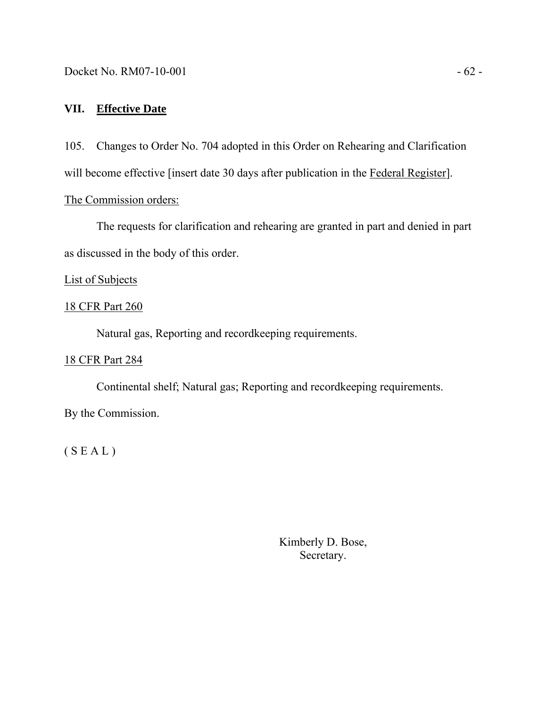Docket No. RM07-10-001 - 62 -

# **VII. Effective Date**

105. Changes to Order No. 704 adopted in this Order on Rehearing and Clarification will become effective [insert date 30 days after publication in the Federal Register].

The Commission orders:

The requests for clarification and rehearing are granted in part and denied in part as discussed in the body of this order.

## List of Subjects

## 18 CFR Part 260

Natural gas, Reporting and recordkeeping requirements.

# 18 CFR Part 284

 Continental shelf; Natural gas; Reporting and recordkeeping requirements. By the Commission.

 $(S E A L)$ 

Kimberly D. Bose, Secretary.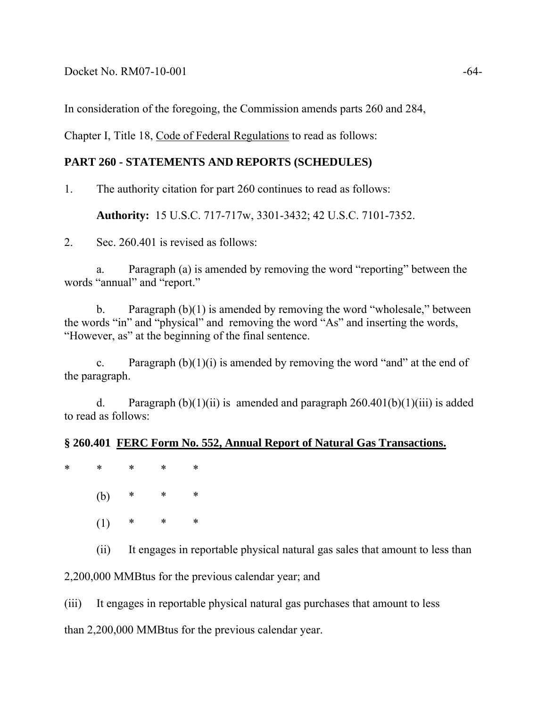Docket No. RM07-10-001 -64-

In consideration of the foregoing, the Commission amends parts 260 and 284,

Chapter I, Title 18, Code of Federal Regulations to read as follows:

# **PART 260 - STATEMENTS AND REPORTS (SCHEDULES)**

1. The authority citation for part 260 continues to read as follows:

**Authority:** 15 U.S.C. 717-717w, 3301-3432; 42 U.S.C. 7101-7352.

2. Sec. 260.401 is revised as follows:

 a. Paragraph (a) is amended by removing the word "reporting" between the words "annual" and "report."

 b. Paragraph (b)(1) is amended by removing the word "wholesale," between the words "in" and "physical" and removing the word "As" and inserting the words, "However, as" at the beginning of the final sentence.

c. Paragraph  $(b)(1)(i)$  is amended by removing the word "and" at the end of the paragraph.

d. Paragraph  $(b)(1)(ii)$  is amended and paragraph  $260.401(b)(1)(iii)$  is added to read as follows:

## **§ 260.401 FERC Form No. 552, Annual Report of Natural Gas Transactions.**

\* \* \* \* \*

(b) \* \* \*

 $(1)$  \* \* \*

(ii) It engages in reportable physical natural gas sales that amount to less than

2,200,000 MMBtus for the previous calendar year; and

(iii) It engages in reportable physical natural gas purchases that amount to less

than 2,200,000 MMBtus for the previous calendar year.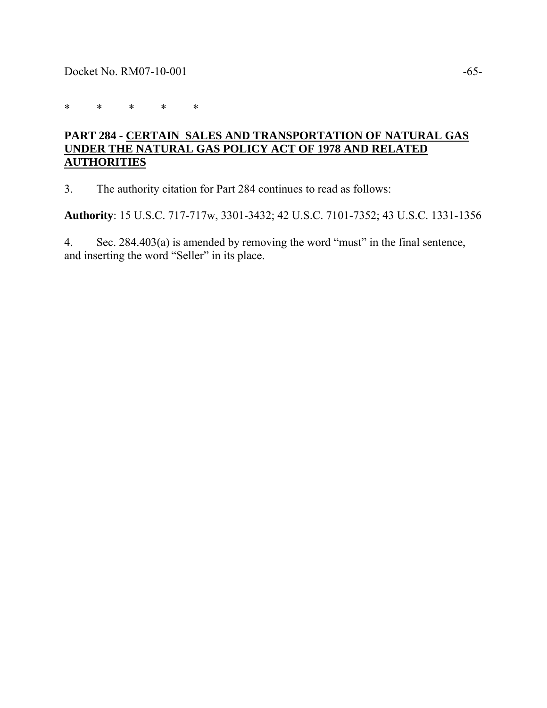\* \* \* \* \*

# **PART 284 - CERTAIN SALES AND TRANSPORTATION OF NATURAL GAS UNDER THE NATURAL GAS POLICY ACT OF 1978 AND RELATED AUTHORITIES**

3. The authority citation for Part 284 continues to read as follows:

**Authority**: 15 U.S.C. 717-717w, 3301-3432; 42 U.S.C. 7101-7352; 43 U.S.C. 1331-1356

4. Sec. 284.403(a) is amended by removing the word "must" in the final sentence, and inserting the word "Seller" in its place.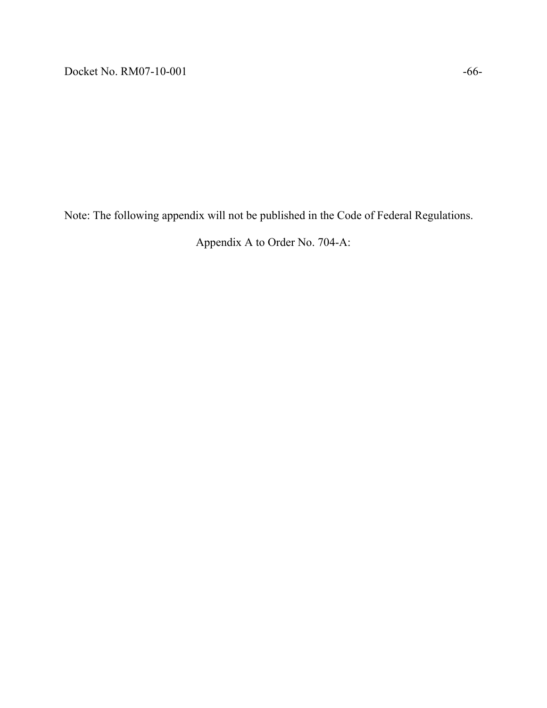Note: The following appendix will not be published in the Code of Federal Regulations.

Appendix A to Order No. 704-A: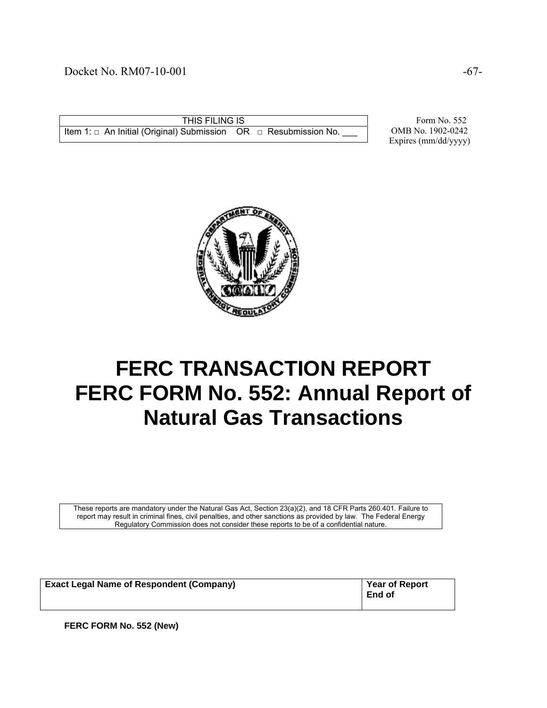## Docket No. RM07-10-001 -67-

THIS FILING IS Item 1:  $□$  An Initial (Original) Submission OR  $□$  Resubmission No.

 Form No. 552 OMB No. 1902-0242 Expires (mm/dd/yyyy)



# **FERC TRANSACTION REPORT FERC FORM No. 552: Annual Report of Natural Gas Transactions**

These reports are mandatory under the Natural Gas Act, Section 23(a)(2), and 18 CFR Parts 260.401. Failure to report may result in criminal fines, civil penalties, and other sanctions as provided by law. The Federal Energy Regulatory Commission does not consider these reports to be of a confidential nature.

| <b>Exact Legal Name of Respondent (Company)</b> | <b>Year of Report</b><br><b>End of</b> |
|-------------------------------------------------|----------------------------------------|
|                                                 |                                        |

**FERC FORM No. 552 (New)**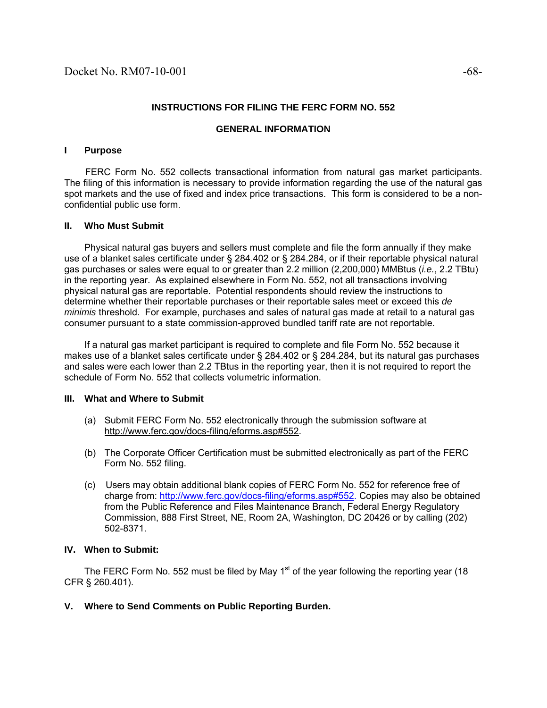#### **INSTRUCTIONS FOR FILING THE FERC FORM NO. 552**

#### **GENERAL INFORMATION**

#### **I Purpose**

 FERC Form No. 552 collects transactional information from natural gas market participants. The filing of this information is necessary to provide information regarding the use of the natural gas spot markets and the use of fixed and index price transactions. This form is considered to be a nonconfidential public use form.

#### **II. Who Must Submit**

 Physical natural gas buyers and sellers must complete and file the form annually if they make use of a blanket sales certificate under § 284.402 or § 284.284, or if their reportable physical natural gas purchases or sales were equal to or greater than 2.2 million (2,200,000) MMBtus (*i.e.*, 2.2 TBtu) in the reporting year. As explained elsewhere in Form No. 552, not all transactions involving physical natural gas are reportable. Potential respondents should review the instructions to determine whether their reportable purchases or their reportable sales meet or exceed this *de minimis* threshold. For example, purchases and sales of natural gas made at retail to a natural gas consumer pursuant to a state commission-approved bundled tariff rate are not reportable.

 If a natural gas market participant is required to complete and file Form No. 552 because it makes use of a blanket sales certificate under § 284.402 or § 284.284, but its natural gas purchases and sales were each lower than 2.2 TBtus in the reporting year, then it is not required to report the schedule of Form No. 552 that collects volumetric information.

#### **III. What and Where to Submit**

- (a) Submit FERC Form No. 552 electronically through the submission software at http://www.ferc.gov/docs-filing/eforms.asp#552.
- (b) The Corporate Officer Certification must be submitted electronically as part of the FERC Form No. 552 filing.
- (c) Users may obtain additional blank copies of FERC Form No. 552 for reference free of charge from: http://www.ferc.gov/docs-filing/eforms.asp#552. Copies may also be obtained from the Public Reference and Files Maintenance Branch, Federal Energy Regulatory Commission, 888 First Street, NE, Room 2A, Washington, DC 20426 or by calling (202) 502-8371.

#### **IV. When to Submit:**

The FERC Form No. 552 must be filed by May 1<sup>st</sup> of the year following the reporting year (18) CFR § 260.401).

**V. Where to Send Comments on Public Reporting Burden.**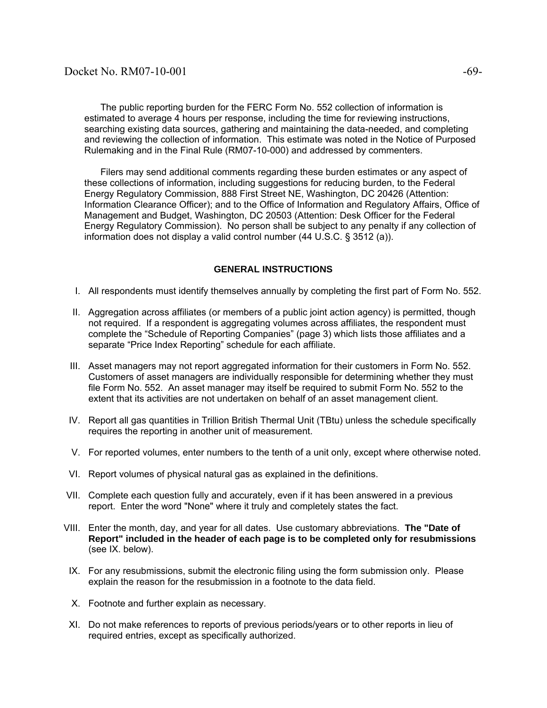The public reporting burden for the FERC Form No. 552 collection of information is estimated to average 4 hours per response, including the time for reviewing instructions, searching existing data sources, gathering and maintaining the data-needed, and completing and reviewing the collection of information. This estimate was noted in the Notice of Purposed Rulemaking and in the Final Rule (RM07-10-000) and addressed by commenters.

 Filers may send additional comments regarding these burden estimates or any aspect of these collections of information, including suggestions for reducing burden, to the Federal Energy Regulatory Commission, 888 First Street NE, Washington, DC 20426 (Attention: Information Clearance Officer); and to the Office of Information and Regulatory Affairs, Office of Management and Budget, Washington, DC 20503 (Attention: Desk Officer for the Federal Energy Regulatory Commission). No person shall be subject to any penalty if any collection of information does not display a valid control number (44 U.S.C. § 3512 (a)).

#### **GENERAL INSTRUCTIONS**

- I. All respondents must identify themselves annually by completing the first part of Form No. 552.
- II. Aggregation across affiliates (or members of a public joint action agency) is permitted, though not required. If a respondent is aggregating volumes across affiliates, the respondent must complete the "Schedule of Reporting Companies" (page 3) which lists those affiliates and a separate "Price Index Reporting" schedule for each affiliate.
- III. Asset managers may not report aggregated information for their customers in Form No. 552. Customers of asset managers are individually responsible for determining whether they must file Form No. 552. An asset manager may itself be required to submit Form No. 552 to the extent that its activities are not undertaken on behalf of an asset management client.
- IV. Report all gas quantities in Trillion British Thermal Unit (TBtu) unless the schedule specifically requires the reporting in another unit of measurement.
- V. For reported volumes, enter numbers to the tenth of a unit only, except where otherwise noted.
- VI. Report volumes of physical natural gas as explained in the definitions.
- VII. Complete each question fully and accurately, even if it has been answered in a previous report. Enter the word "None" where it truly and completely states the fact.
- VIII. Enter the month, day, and year for all dates. Use customary abbreviations. **The "Date of Report" included in the header of each page is to be completed only for resubmissions**  (see IX. below).
- IX. For any resubmissions, submit the electronic filing using the form submission only. Please explain the reason for the resubmission in a footnote to the data field.
- X. Footnote and further explain as necessary.
- XI. Do not make references to reports of previous periods/years or to other reports in lieu of required entries, except as specifically authorized.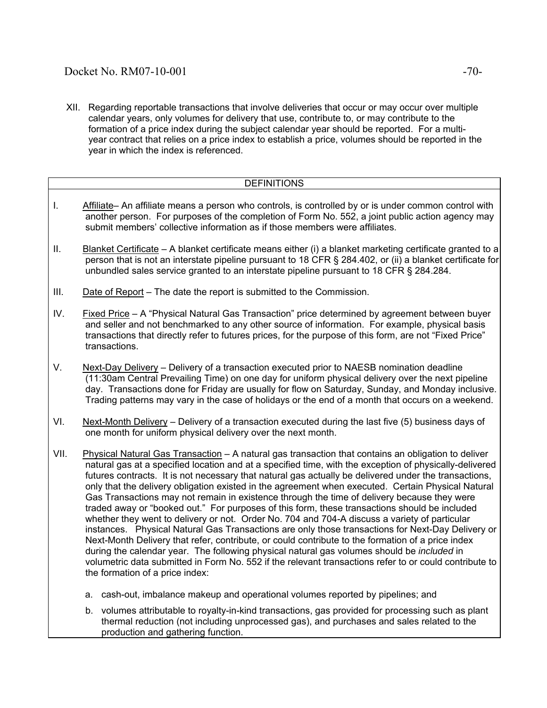XII. Regarding reportable transactions that involve deliveries that occur or may occur over multiple calendar years, only volumes for delivery that use, contribute to, or may contribute to the formation of a price index during the subject calendar year should be reported. For a multiyear contract that relies on a price index to establish a price, volumes should be reported in the year in which the index is referenced.

### DEFINITIONS

- I. Affiliate– An affiliate means a person who controls, is controlled by or is under common control with another person. For purposes of the completion of Form No. 552, a joint public action agency may submit members' collective information as if those members were affiliates.
- II. Blanket Certificate A blanket certificate means either (i) a blanket marketing certificate granted to a person that is not an interstate pipeline pursuant to 18 CFR § 284.402, or (ii) a blanket certificate for unbundled sales service granted to an interstate pipeline pursuant to 18 CFR § 284.284.
- III. Date of Report The date the report is submitted to the Commission.
- IV. Fixed Price A "Physical Natural Gas Transaction" price determined by agreement between buyer and seller and not benchmarked to any other source of information. For example, physical basis transactions that directly refer to futures prices, for the purpose of this form, are not "Fixed Price" transactions.
- V. Next-Day Delivery Delivery of a transaction executed prior to NAESB nomination deadline (11:30am Central Prevailing Time) on one day for uniform physical delivery over the next pipeline day. Transactions done for Friday are usually for flow on Saturday, Sunday, and Monday inclusive. Trading patterns may vary in the case of holidays or the end of a month that occurs on a weekend.
- VI. Next-Month Delivery Delivery of a transaction executed during the last five (5) business days of one month for uniform physical delivery over the next month.
- VII. Physical Natural Gas Transaction A natural gas transaction that contains an obligation to deliver natural gas at a specified location and at a specified time, with the exception of physically-delivered futures contracts. It is not necessary that natural gas actually be delivered under the transactions, only that the delivery obligation existed in the agreement when executed. Certain Physical Natural Gas Transactions may not remain in existence through the time of delivery because they were traded away or "booked out." For purposes of this form, these transactions should be included whether they went to delivery or not. Order No. 704 and 704-A discuss a variety of particular instances. Physical Natural Gas Transactions are only those transactions for Next-Day Delivery or Next-Month Delivery that refer, contribute, or could contribute to the formation of a price index during the calendar year. The following physical natural gas volumes should be *included* in volumetric data submitted in Form No. 552 if the relevant transactions refer to or could contribute to the formation of a price index:
	- a. cash-out, imbalance makeup and operational volumes reported by pipelines; and
	- b. volumes attributable to royalty-in-kind transactions, gas provided for processing such as plant thermal reduction (not including unprocessed gas), and purchases and sales related to the production and gathering function.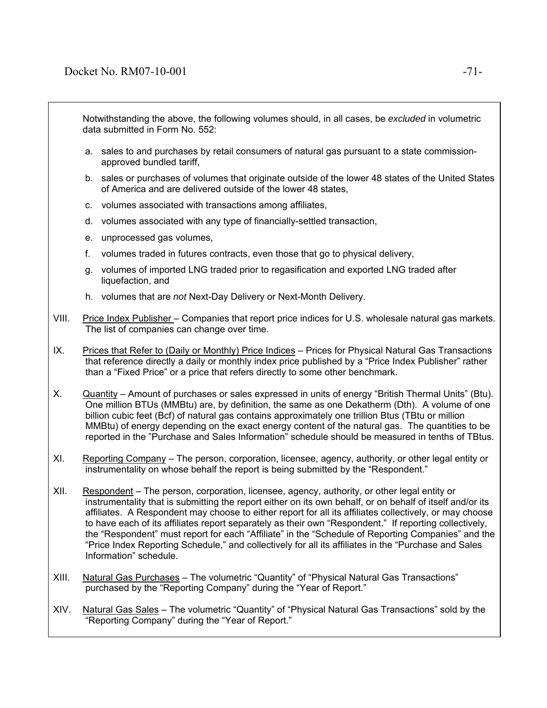Notwithstanding the above, the following volumes should, in all cases, be *excluded* in volumetric data submitted in Form No. 552:

- a. sales to and purchases by retail consumers of natural gas pursuant to a state commissionapproved bundled tariff,
- b. sales or purchases of volumes that originate outside of the lower 48 states of the United States of America and are delivered outside of the lower 48 states,
- c. volumes associated with transactions among affiliates,
- d. volumes associated with any type of financially-settled transaction,
- e. unprocessed gas volumes,
- f. volumes traded in futures contracts, even those that go to physical delivery,
- g. volumes of imported LNG traded prior to regasification and exported LNG traded after liquefaction, and
- h. volumes that are *not* Next-Day Delivery or Next-Month Delivery.
- VIII. Price Index Publisher Companies that report price indices for U.S. wholesale natural gas markets. The list of companies can change over time.
- IX. Prices that Refer to (Daily or Monthly) Price Indices Prices for Physical Natural Gas Transactions that reference directly a daily or monthly index price published by a "Price Index Publisher" rather than a "Fixed Price" or a price that refers directly to some other benchmark.
- X. Quantity Amount of purchases or sales expressed in units of energy "British Thermal Units" (Btu). One million BTUs (MMBtu) are, by definition, the same as one Dekatherm (Dth). A volume of one billion cubic feet (Bcf) of natural gas contains approximately one trillion Btus (TBtu or million MMBtu) of energy depending on the exact energy content of the natural gas. The quantities to be reported in the "Purchase and Sales Information" schedule should be measured in tenths of TBtus.
- XI. Reporting Company The person, corporation, licensee, agency, authority, or other legal entity or instrumentality on whose behalf the report is being submitted by the "Respondent."
- XII. Respondent The person, corporation, licensee, agency, authority, or other legal entity or instrumentality that is submitting the report either on its own behalf, or on behalf of itself and/or its affiliates. A Respondent may choose to either report for all its affiliates collectively, or may choose to have each of its affiliates report separately as their own "Respondent." If reporting collectively, the "Respondent" must report for each "Affiliate" in the "Schedule of Reporting Companies" and the "Price Index Reporting Schedule," and collectively for all its affiliates in the "Purchase and Sales Information" schedule.
- XIII. Natural Gas Purchases The volumetric "Quantity" of "Physical Natural Gas Transactions" purchased by the "Reporting Company" during the "Year of Report."
- XIV. Natural Gas Sales The volumetric "Quantity" of "Physical Natural Gas Transactions" sold by the "Reporting Company" during the "Year of Report."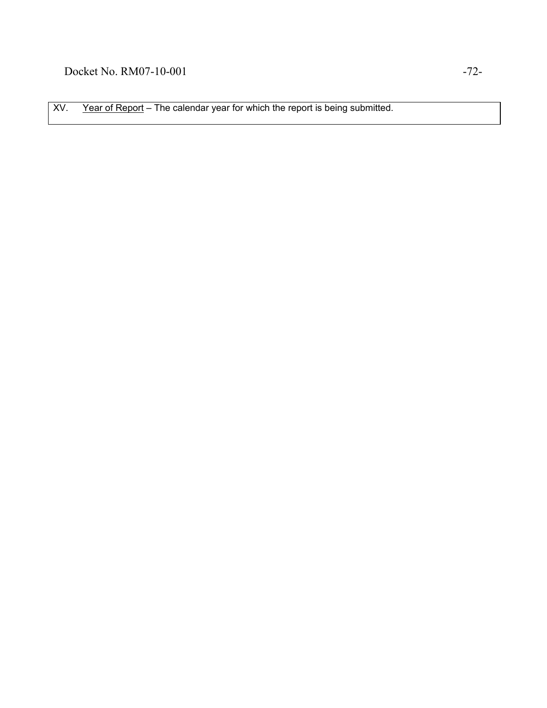XV. Year of Report – The calendar year for which the report is being submitted.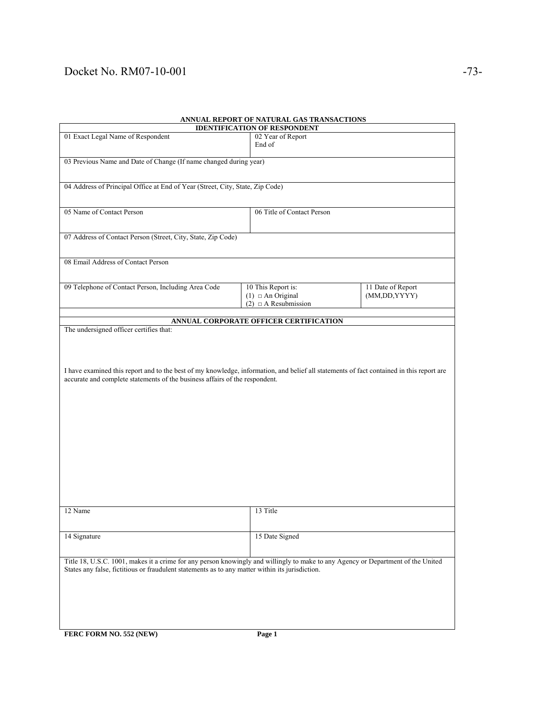# Docket No. RM07-10-001 -73-

| ANNOAL KEI ONT OF NATURAL OAS TRANSACTIONS<br><b>IDENTIFICATION OF RESPONDENT</b>                                                        |                                        |                   |  |
|------------------------------------------------------------------------------------------------------------------------------------------|----------------------------------------|-------------------|--|
| 01 Exact Legal Name of Respondent                                                                                                        | 02 Year of Report                      |                   |  |
|                                                                                                                                          | End of                                 |                   |  |
|                                                                                                                                          |                                        |                   |  |
| 03 Previous Name and Date of Change (If name changed during year)                                                                        |                                        |                   |  |
|                                                                                                                                          |                                        |                   |  |
|                                                                                                                                          |                                        |                   |  |
| 04 Address of Principal Office at End of Year (Street, City, State, Zip Code)                                                            |                                        |                   |  |
|                                                                                                                                          |                                        |                   |  |
|                                                                                                                                          |                                        |                   |  |
| 05 Name of Contact Person                                                                                                                | 06 Title of Contact Person             |                   |  |
|                                                                                                                                          |                                        |                   |  |
|                                                                                                                                          |                                        |                   |  |
| 07 Address of Contact Person (Street, City, State, Zip Code)                                                                             |                                        |                   |  |
|                                                                                                                                          |                                        |                   |  |
|                                                                                                                                          |                                        |                   |  |
| 08 Email Address of Contact Person                                                                                                       |                                        |                   |  |
|                                                                                                                                          |                                        |                   |  |
|                                                                                                                                          |                                        |                   |  |
| 09 Telephone of Contact Person, Including Area Code                                                                                      | 10 This Report is:                     | 11 Date of Report |  |
|                                                                                                                                          | $(1)$ $\Box$ An Original               | (MM,DD,YYYY)      |  |
|                                                                                                                                          | $(2)$ $\Box$ A Resubmission            |                   |  |
|                                                                                                                                          |                                        |                   |  |
|                                                                                                                                          |                                        |                   |  |
|                                                                                                                                          | ANNUAL CORPORATE OFFICER CERTIFICATION |                   |  |
| The undersigned officer certifies that:                                                                                                  |                                        |                   |  |
|                                                                                                                                          |                                        |                   |  |
|                                                                                                                                          |                                        |                   |  |
|                                                                                                                                          |                                        |                   |  |
|                                                                                                                                          |                                        |                   |  |
| I have examined this report and to the best of my knowledge, information, and belief all statements of fact contained in this report are |                                        |                   |  |
| accurate and complete statements of the business affairs of the respondent.                                                              |                                        |                   |  |
|                                                                                                                                          |                                        |                   |  |
|                                                                                                                                          |                                        |                   |  |
|                                                                                                                                          |                                        |                   |  |
|                                                                                                                                          |                                        |                   |  |
|                                                                                                                                          |                                        |                   |  |
|                                                                                                                                          |                                        |                   |  |
|                                                                                                                                          |                                        |                   |  |
|                                                                                                                                          |                                        |                   |  |
|                                                                                                                                          |                                        |                   |  |
|                                                                                                                                          |                                        |                   |  |
|                                                                                                                                          |                                        |                   |  |
|                                                                                                                                          |                                        |                   |  |
|                                                                                                                                          |                                        |                   |  |
|                                                                                                                                          |                                        |                   |  |
|                                                                                                                                          |                                        |                   |  |
|                                                                                                                                          |                                        |                   |  |
|                                                                                                                                          |                                        |                   |  |
| 12 Name                                                                                                                                  | 13 Title                               |                   |  |
|                                                                                                                                          |                                        |                   |  |
|                                                                                                                                          |                                        |                   |  |
|                                                                                                                                          |                                        |                   |  |
| 14 Signature                                                                                                                             | 15 Date Signed                         |                   |  |
|                                                                                                                                          |                                        |                   |  |
|                                                                                                                                          |                                        |                   |  |
| Title 18, U.S.C. 1001, makes it a crime for any person knowingly and willingly to make to any Agency or Department of the United         |                                        |                   |  |
| States any false, fictitious or fraudulent statements as to any matter within its jurisdiction.                                          |                                        |                   |  |
|                                                                                                                                          |                                        |                   |  |
|                                                                                                                                          |                                        |                   |  |
|                                                                                                                                          |                                        |                   |  |
|                                                                                                                                          |                                        |                   |  |
|                                                                                                                                          |                                        |                   |  |
|                                                                                                                                          |                                        |                   |  |
| FERC FORM NO. 552 (NEW)                                                                                                                  | Page 1                                 |                   |  |

## **ANNUAL REPORT OF NATURAL GAS TRANSACTIONS**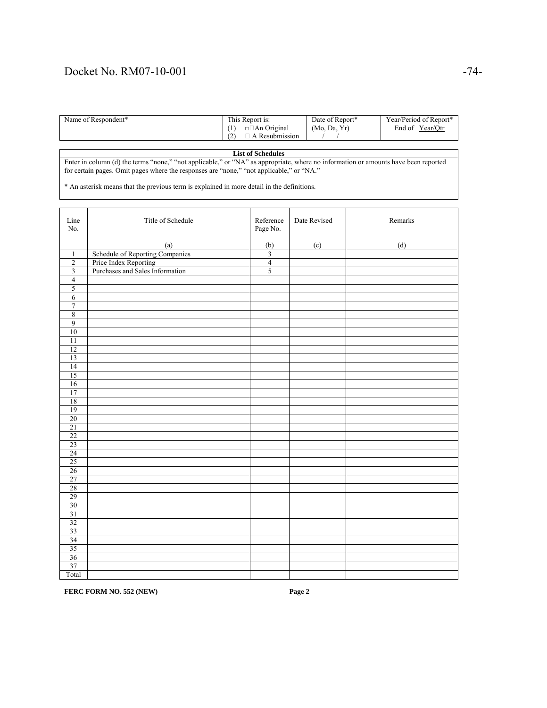### Docket No. RM07-10-001 -74-

| Name of Respondent* | This Report is:    | Date of Report* | Year/Period of Report* |
|---------------------|--------------------|-----------------|------------------------|
|                     | $\Box$ An Original | (Mo, Da, Yr)    | End of Year/Otr        |
|                     | A Resubmission     |                 |                        |

#### **List of Schedules**

Enter in column (d) the terms "none," "not applicable," or "NA" as appropriate, where no information or amounts have been reported for certain pages. Omit pages where the responses are "none," "not applicable," or "NA."

\* An asterisk means that the previous term is explained in more detail in the definitions.

| Line<br>No.             | Title of Schedule               | Reference<br>Page No. | Date Revised | Remarks |
|-------------------------|---------------------------------|-----------------------|--------------|---------|
|                         | (a)                             | (b)                   | (c)          | (d)     |
| $\mathbf{1}$            | Schedule of Reporting Companies | $\overline{3}$        |              |         |
| $\overline{2}$          | Price Index Reporting           | $\overline{4}$        |              |         |
| $\overline{\mathbf{3}}$ | Purchases and Sales Information | 5                     |              |         |
| $\overline{4}$          |                                 |                       |              |         |
| $\sqrt{5}$              |                                 |                       |              |         |
| $\sqrt{6}$              |                                 |                       |              |         |
| $\overline{7}$          |                                 |                       |              |         |
| $\overline{8}$          |                                 |                       |              |         |
| 9                       |                                 |                       |              |         |
| 10                      |                                 |                       |              |         |
| 11                      |                                 |                       |              |         |
| 12                      |                                 |                       |              |         |
| 13                      |                                 |                       |              |         |
| 14                      |                                 |                       |              |         |
| 15                      |                                 |                       |              |         |
| 16                      |                                 |                       |              |         |
| 17                      |                                 |                       |              |         |
| 18                      |                                 |                       |              |         |
| 19                      |                                 |                       |              |         |
| 20                      |                                 |                       |              |         |
| 21                      |                                 |                       |              |         |
| 22                      |                                 |                       |              |         |
| 23                      |                                 |                       |              |         |
| 24                      |                                 |                       |              |         |
| 25                      |                                 |                       |              |         |
| 26                      |                                 |                       |              |         |
| 27                      |                                 |                       |              |         |
| 28                      |                                 |                       |              |         |
| 29                      |                                 |                       |              |         |
| 30                      |                                 |                       |              |         |
| 31                      |                                 |                       |              |         |
| 32                      |                                 |                       |              |         |
| 33                      |                                 |                       |              |         |
| 34                      |                                 |                       |              |         |
| 35                      |                                 |                       |              |         |
| 36                      |                                 |                       |              |         |
| 37                      |                                 |                       |              |         |
| Total                   |                                 |                       |              |         |

**FERC FORM NO. 552 (NEW)** Page 2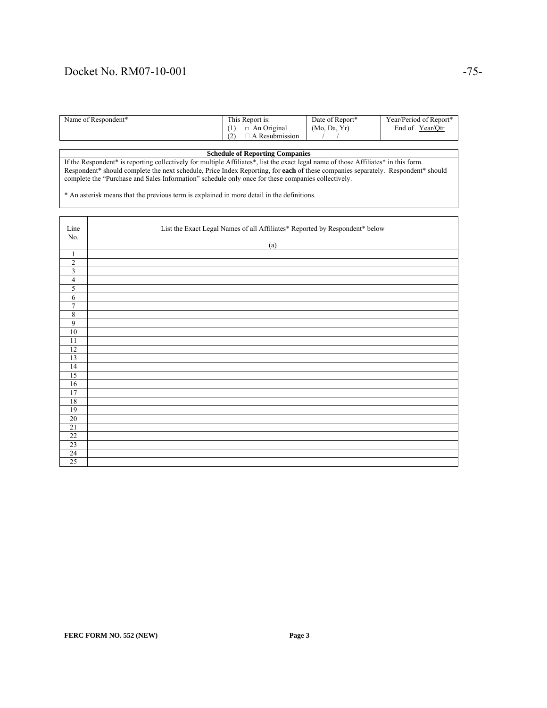### Docket No. RM07-10-001 -75-

| Name of Respondent* | This Report is:    | Date of Report* | Year/Period of Report* |
|---------------------|--------------------|-----------------|------------------------|
|                     | $\Box$ An Original | (Mo, Da, Yr)    | Year/Otr<br>End of     |
|                     | Resubmission<br>Δ  |                 |                        |

#### **Schedule of Reporting Companies**

If the Respondent\* is reporting collectively for multiple Affiliates\*, list the exact legal name of those Affiliates\* in this form. Respondent\* should complete the next schedule, Price Index Reporting, for **each** of these companies separately. Respondent\* should complete the "Purchase and Sales Information" schedule only once for these companies collectively.

\* An asterisk means that the previous term is explained in more detail in the definitions.

| Line<br>No.             | List the Exact Legal Names of all Affiliates* Reported by Respondent* below |
|-------------------------|-----------------------------------------------------------------------------|
|                         | (a)                                                                         |
| $\mathbf{1}$            |                                                                             |
| $\overline{2}$          |                                                                             |
| $\overline{\mathbf{3}}$ |                                                                             |
| $\overline{4}$          |                                                                             |
| 5                       |                                                                             |
| $\overline{6}$          |                                                                             |
| $\overline{7}$          |                                                                             |
| $\,8\,$                 |                                                                             |
| 9                       |                                                                             |
| 10                      |                                                                             |
| 11                      |                                                                             |
| 12                      |                                                                             |
| 13                      |                                                                             |
| 14                      |                                                                             |
| 15                      |                                                                             |
| 16                      |                                                                             |
| 17                      |                                                                             |
| 18                      |                                                                             |
| 19                      |                                                                             |
| $20\,$                  |                                                                             |
| 21                      |                                                                             |
| 22                      |                                                                             |
| 23                      |                                                                             |
| $\overline{24}$         |                                                                             |
| 25                      |                                                                             |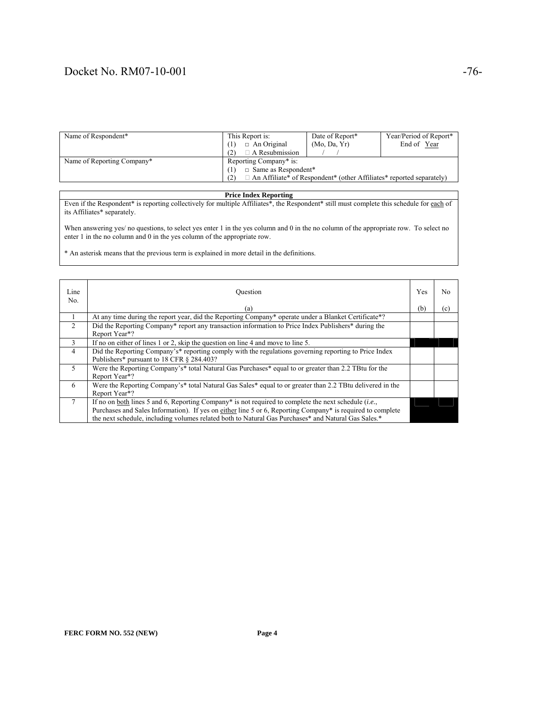### Docket No. RM07-10-001 -76-

| Name of Respondent*        | This Report is:                                                                    | Date of Report* | Year/Period of Report* |
|----------------------------|------------------------------------------------------------------------------------|-----------------|------------------------|
|                            | $\Box$ An Original                                                                 | (Mo, Da, Yr)    | End of Year            |
|                            | $\Box$ A Resubmission                                                              |                 |                        |
| Name of Reporting Company* | Reporting Company* is:                                                             |                 |                        |
|                            | $\Box$ Same as Respondent*                                                         |                 |                        |
|                            | $\Box$ An Affiliate* of Respondent* (other Affiliates* reported separately)<br>(2) |                 |                        |

#### **Price Index Reporting**

Even if the Respondent\* is reporting collectively for multiple Affiliates\*, the Respondent\* still must complete this schedule for each of its Affiliates\* separately.

When answering yes/ no questions, to select yes enter 1 in the yes column and 0 in the no column of the appropriate row. To select no enter 1 in the no column and 0 in the yes column of the appropriate row.

\* An asterisk means that the previous term is explained in more detail in the definitions.

| Line<br>No.     | Ouestion                                                                                                                                                                                                                                                                                                                                  | Yes | N <sub>0</sub> |
|-----------------|-------------------------------------------------------------------------------------------------------------------------------------------------------------------------------------------------------------------------------------------------------------------------------------------------------------------------------------------|-----|----------------|
|                 | (a)                                                                                                                                                                                                                                                                                                                                       | (b) | (c)            |
|                 | At any time during the report year, did the Reporting Company* operate under a Blanket Certificate*?                                                                                                                                                                                                                                      |     |                |
| $\mathcal{L}$   | Did the Reporting Company* report any transaction information to Price Index Publishers* during the<br>Report Year*?                                                                                                                                                                                                                      |     |                |
| 3               | If no on either of lines 1 or 2, skip the question on line 4 and move to line 5.                                                                                                                                                                                                                                                          |     |                |
| $\overline{4}$  | Did the Reporting Company's* reporting comply with the regulations governing reporting to Price Index<br>Publishers* pursuant to 18 CFR § 284.403?                                                                                                                                                                                        |     |                |
| 5               | Were the Reporting Company's* total Natural Gas Purchases* equal to or greater than 2.2 TBtu for the<br>Report Year*?                                                                                                                                                                                                                     |     |                |
| 6               | Were the Reporting Company's* total Natural Gas Sales* equal to or greater than 2.2 TBtu delivered in the<br>Report Year*?                                                                                                                                                                                                                |     |                |
| $7\phantom{.0}$ | If no on <u>both</u> lines 5 and 6, Reporting Company* is not required to complete the next schedule ( <i>i.e.</i> ,<br>Purchases and Sales Information). If yes on either line 5 or 6, Reporting Company* is required to complete<br>the next schedule, including volumes related both to Natural Gas Purchases* and Natural Gas Sales.* |     |                |